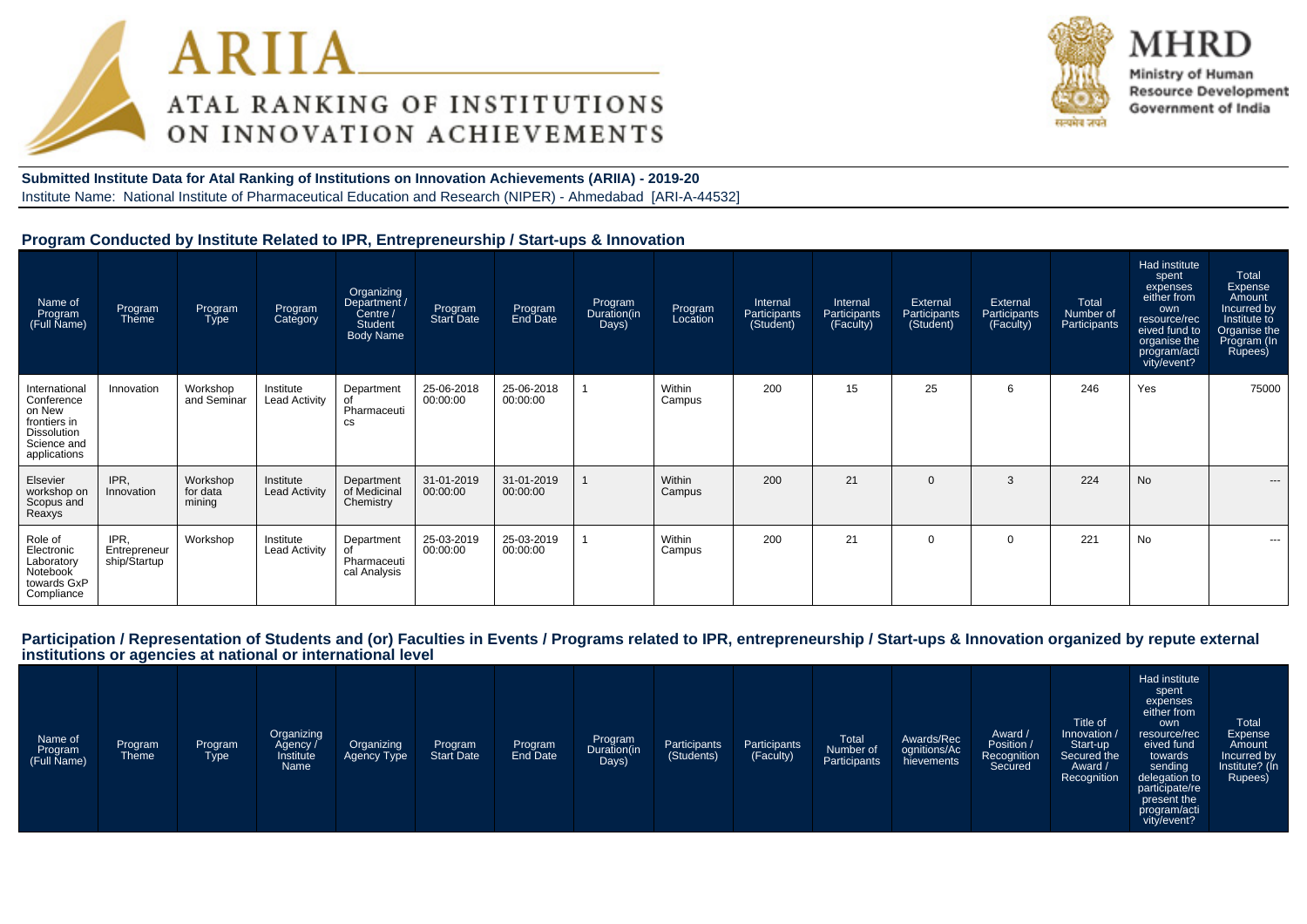



Ministry of Human **Resource Development** Government of India

**Submitted Institute Data for Atal Ranking of Institutions on Innovation Achievements (ARIIA) - 2019-20**Institute Name: National Institute of Pharmaceutical Education and Research (NIPER) - Ahmedabad [ARI-A-44532]

#### **Program Conducted by Institute Related to IPR, Entrepreneurship / Start-ups & Innovation**

| Name of<br>Program<br>(Full Name)                                                                          | Program<br>Theme                     | Program<br><b>Type</b>         | Program<br>Category               | Organizing<br>Department /<br>Centre /<br><b>Student</b><br><b>Body Name</b> | Program<br>Start Date  | Program<br>End Date    | Program<br>Duration(in<br>Days) | Program<br>Location | Internal<br>Participants<br>(Student) | Internal<br>Participants<br>(Faculty) | External<br>Participants<br>(Student) | External<br>Participants<br>(Faculty) | Total<br>Number of<br>Participants | Had institute<br>spent<br>expenses<br>either from<br>own<br>resource/rec<br>eived fund to<br>organise the<br>program/acti<br>vity/event? | Total<br>Expense<br>Amount<br>Incurred by<br>Institute to<br>Organise the<br>Program (In<br>Rupees) |
|------------------------------------------------------------------------------------------------------------|--------------------------------------|--------------------------------|-----------------------------------|------------------------------------------------------------------------------|------------------------|------------------------|---------------------------------|---------------------|---------------------------------------|---------------------------------------|---------------------------------------|---------------------------------------|------------------------------------|------------------------------------------------------------------------------------------------------------------------------------------|-----------------------------------------------------------------------------------------------------|
| International<br>Conference<br>on New<br>frontiers in<br><b>Dissolution</b><br>Science and<br>applications | Innovation                           | Workshop<br>and Seminar        | Institute<br><b>Lead Activity</b> | Department<br>of<br>Pharmaceuti<br><b>CS</b>                                 | 25-06-2018<br>00:00:00 | 25-06-2018<br>00:00:00 |                                 | Within<br>Campus    | 200                                   | 15                                    | 25                                    | 6                                     | 246                                | Yes                                                                                                                                      | 75000                                                                                               |
| Elsevier<br>workshop on<br>Scopus and<br>Reaxys                                                            | IPR.<br>Innovation                   | Workshop<br>for data<br>mining | Institute<br><b>Lead Activity</b> | Department<br>of Medicinal<br>Chemistry                                      | 31-01-2019<br>00:00:00 | 31-01-2019<br>00:00:00 |                                 | Within<br>Campus    | 200                                   | 21                                    | $\overline{0}$                        | 3                                     | 224                                | <b>No</b>                                                                                                                                | ---                                                                                                 |
| Role of<br>Electronic<br>Laboratory<br>Notebook<br>towards GxP<br>Compliance                               | IPR.<br>Entrepreneur<br>ship/Startup | Workshop                       | Institute<br><b>Lead Activity</b> | Department<br>Pharmaceuti<br>cal Analysis                                    | 25-03-2019<br>00:00:00 | 25-03-2019<br>00:00:00 |                                 | Within<br>Campus    | 200                                   | 21                                    | $\overline{0}$                        | $\Omega$                              | 221                                | <b>No</b>                                                                                                                                | $\cdots$                                                                                            |

#### **Participation / Representation of Students and (or) Faculties in Events / Programs related to IPR, entrepreneurship / Start-ups & Innovation organized by repute externalinstitutions or agencies at national or international level**

| Name of<br>Program<br>(Full Name) | Program<br>Theme | Program<br>Type | Organizing<br>Agency /<br>Institute<br>Name | Organizing<br>Agency Type | Program<br>Start Date | Program<br>End Date | Program<br>Duration(in<br>Days) | Participants<br>(Students) | Participants<br>(Faculty) | <b>Total</b><br>Number of<br>Participants | Awards/Rec<br>ognitions/Ac<br>hievements | Award /<br>Position /<br>Recognition<br>Secured | Title of<br>Innovation /<br>Start-up<br>Secured the<br>Award /<br>Recognition | Had institute<br>spent<br>expenses<br>either from<br>own<br>resource/rec<br>eived fund<br>towards<br>sending<br>delegation to<br>participate/re<br>present the<br>program/acti<br>vity/event? | Total<br>Expense<br>Amount<br>Incurred by<br>Institute? (In<br>Rupees) |
|-----------------------------------|------------------|-----------------|---------------------------------------------|---------------------------|-----------------------|---------------------|---------------------------------|----------------------------|---------------------------|-------------------------------------------|------------------------------------------|-------------------------------------------------|-------------------------------------------------------------------------------|-----------------------------------------------------------------------------------------------------------------------------------------------------------------------------------------------|------------------------------------------------------------------------|
|-----------------------------------|------------------|-----------------|---------------------------------------------|---------------------------|-----------------------|---------------------|---------------------------------|----------------------------|---------------------------|-------------------------------------------|------------------------------------------|-------------------------------------------------|-------------------------------------------------------------------------------|-----------------------------------------------------------------------------------------------------------------------------------------------------------------------------------------------|------------------------------------------------------------------------|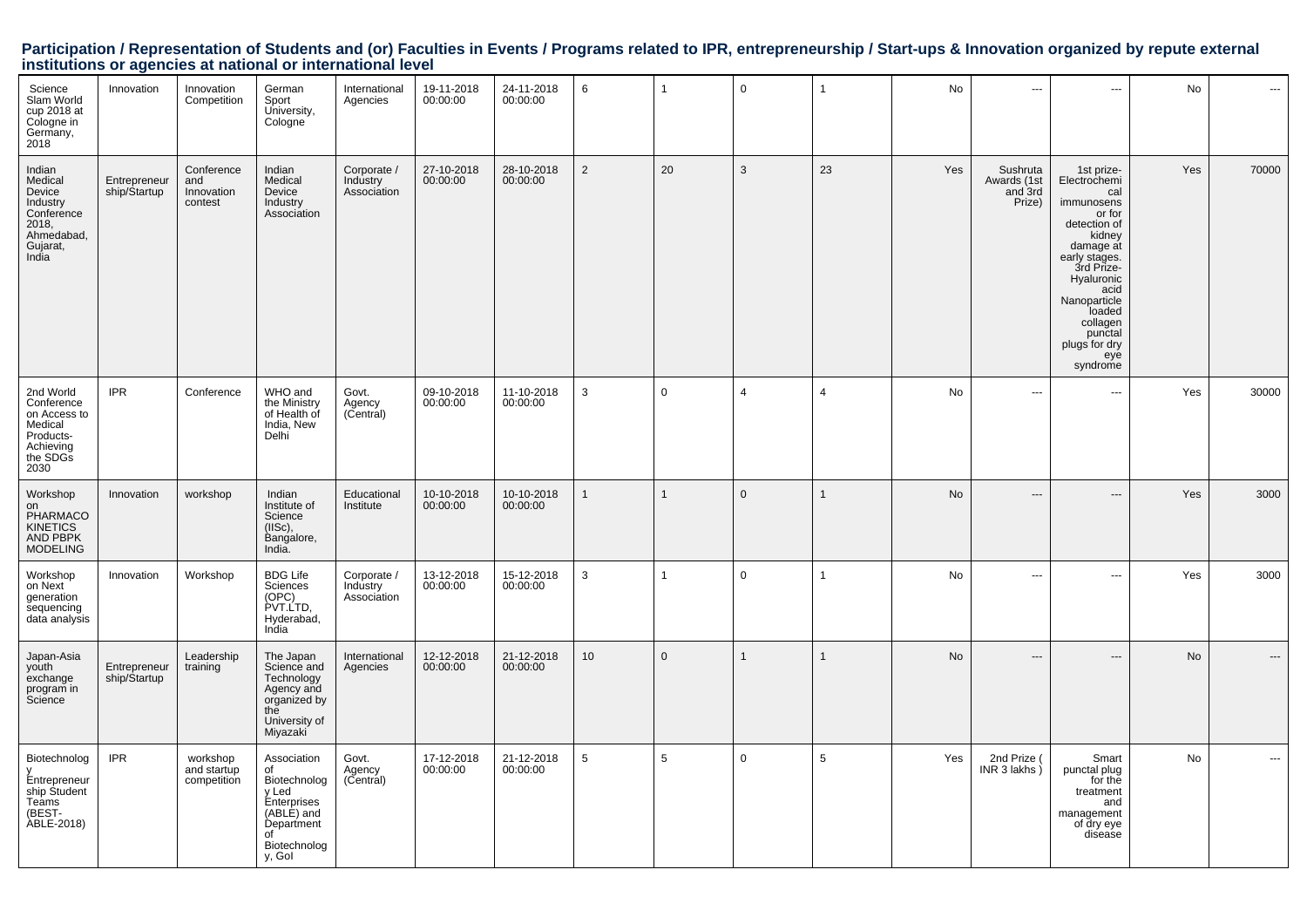# Participation / Representation of Students and (or) Faculties in Events / Programs related to IPR, entrepreneurship / Start-ups & Innovation organized by repute external<br>institutions or agencies at national or internationa

| Science<br>Slam World<br>cup 2018 at<br>Cologne in<br>Germany,<br>2018                            | Innovation                   | Innovation<br>Competition                  | German<br>Sport<br>University,<br>Cologne                                                                             | International<br>Agencies              | 19-11-2018<br>00:00:00 | 24-11-2018<br>00:00:00 | 6              | $\mathbf{1}$ | $\mathbf 0$    |                | No  | $\overline{\phantom{a}}$                     | ---                                                                                                                                                                                                                                        | No  | ---                      |
|---------------------------------------------------------------------------------------------------|------------------------------|--------------------------------------------|-----------------------------------------------------------------------------------------------------------------------|----------------------------------------|------------------------|------------------------|----------------|--------------|----------------|----------------|-----|----------------------------------------------|--------------------------------------------------------------------------------------------------------------------------------------------------------------------------------------------------------------------------------------------|-----|--------------------------|
| Indian<br>Medical<br>Device<br>Industry<br>Conference<br>2018,<br>Ahmedabad,<br>Gujarat,<br>India | Entrepreneur<br>ship/Startup | Conference<br>and<br>Innovation<br>contest | Indian<br>Medical<br>Device<br>Industry<br>Association                                                                | Corporate /<br>Industry<br>Association | 27-10-2018<br>00:00:00 | 28-10-2018<br>00:00:00 | $\overline{2}$ | 20           | 3              | 23             | Yes | Sushruta<br>Awards (1st<br>and 3rd<br>Prize) | 1st prize-<br>Electrochemi<br>cal<br>immunosens<br>or for<br>detection of<br>kidney<br>damage at<br>early stages.<br>3rd Prize-<br>Hyaluronic<br>acid<br>Nanoparticle<br>loaded<br>collagen<br>punctal<br>plugs for dry<br>eye<br>syndrome | Yes | 70000                    |
| 2nd World<br>Conference<br>on Access to<br>Medical<br>Products-<br>Achieving<br>the SDGs<br>2030  | <b>IPR</b>                   | Conference                                 | WHO and<br>the Ministry<br>of Health of<br>India, New<br>Delhi                                                        | Govt.<br>Agency<br>(Central)           | 09-10-2018<br>00:00:00 | 11-10-2018<br>00:00:00 | 3              | 0            | $\overline{4}$ | $\overline{4}$ | No  | $\overline{\phantom{a}}$                     | ÷÷.                                                                                                                                                                                                                                        | Yes | 30000                    |
| Workshop<br>on<br>OI<br>PHARMACO<br>KINETICS<br>AND PBPK<br><b>MODELING</b>                       | Innovation                   | workshop                                   | Indian<br>Institute of<br>Science<br>$(IISc)$ ,<br>Bangalore,<br>India.                                               | Educational<br>Institute               | 10-10-2018<br>00:00:00 | 10-10-2018<br>00:00:00 | $\mathbf{1}$   | $\mathbf{1}$ | $\mathbf 0$    | $\mathbf{1}$   | No  | $---$                                        | $---$                                                                                                                                                                                                                                      | Yes | 3000                     |
| Workshop<br>on Next<br>generation<br>sequencing<br>data analysis                                  | Innovation                   | Workshop                                   | <b>BDG Life</b><br>Sciences<br>(OPC)<br>PVT.LTD,<br>Hyderabad,<br>India                                               | Corporate /<br>Industry<br>Association | 13-12-2018<br>00:00:00 | 15-12-2018<br>00:00:00 | 3              | 1            | $\overline{0}$ |                | No  | $\overline{\phantom{a}}$                     | ---                                                                                                                                                                                                                                        | Yes | 3000                     |
| Japan-Asia<br>youth<br>exchange<br>program in<br>Science                                          | Entrepreneur<br>ship/Startup | Leadership<br>training                     | The Japan<br>Science and<br>Technology<br>Agency and<br>organized by<br>the<br>University of<br>Miyazaki              | International<br>Agencies              | 12-12-2018<br>00:00:00 | 21-12-2018<br>00:00:00 | 10             | $\mathbf{0}$ | $\overline{1}$ |                | No  | ---                                          | ---                                                                                                                                                                                                                                        | No  | $\hspace{0.05cm} \ldots$ |
| Biotechnolog<br>V<br>Entrepreneur<br>ship Student<br>Teams<br>(BEST-<br><b>ABLE-2018</b> )        | <b>IPR</b>                   | workshop<br>and startup<br>competition     | Association<br>of<br>Biotechnolog<br>y Led<br>Enterprises<br>(ABLE) and<br>Department<br>of<br>Biotechnolog<br>y, Gol | Govt.<br>Agency<br>(Central)           | 17-12-2018<br>00:00:00 | 21-12-2018<br>00:00:00 | 5              | 5            | $\mathbf 0$    | 5              | Yes | 2nd Prize<br>INR 3 lakhs                     | Smart<br>punctal plug<br>for the<br>treatment<br>and<br>management<br>of dry eye<br>disease                                                                                                                                                | No  | $\sim$                   |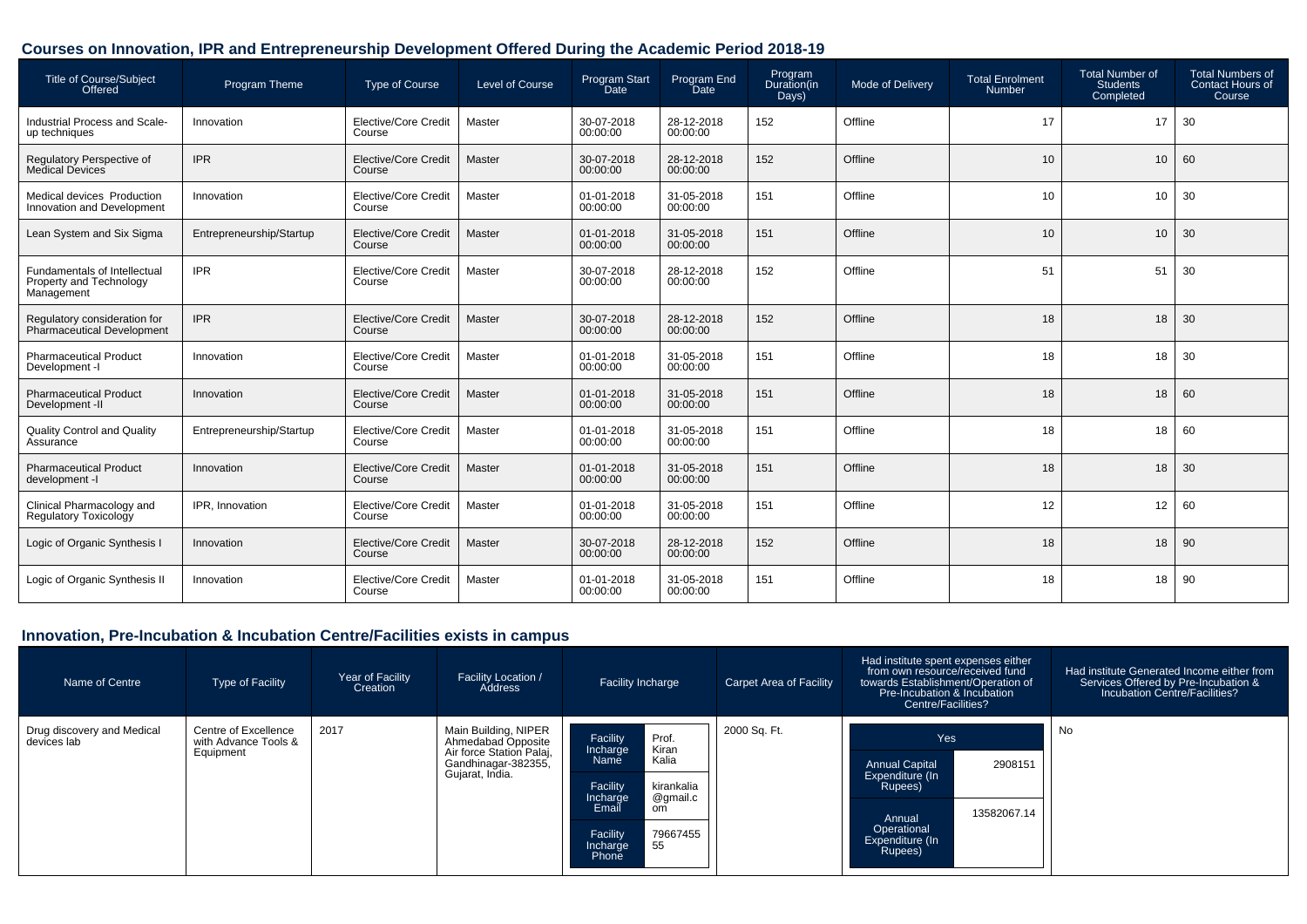# **Courses on Innovation, IPR and Entrepreneurship Development Offered During the Academic Period 2018-19**

| <b>Title of Course/Subject</b><br>Offered                             | Program Theme            | <b>Type of Course</b>                 | Level of Course | Program Start<br>Date  | Program End<br>Date    | Program<br>Duration(in<br>Days) | Mode of Delivery | <b>Total Enrolment</b><br><b>Number</b> | <b>Total Number of</b><br><b>Students</b><br>Completed | <b>Total Numbers of</b><br><b>Contact Hours of</b><br>Course |
|-----------------------------------------------------------------------|--------------------------|---------------------------------------|-----------------|------------------------|------------------------|---------------------------------|------------------|-----------------------------------------|--------------------------------------------------------|--------------------------------------------------------------|
| Industrial Process and Scale-<br>up techniques                        | Innovation               | Elective/Core Credit<br>Course        | Master          | 30-07-2018<br>00:00:00 | 28-12-2018<br>00:00:00 | 152                             | Offline          | 17                                      | 17                                                     | 30                                                           |
| Regulatory Perspective of<br>Medical Devices                          | <b>IPR</b>               | Elective/Core Credit<br>Course        | Master          | 30-07-2018<br>00:00:00 | 28-12-2018<br>00:00:00 | 152                             | Offline          | 10                                      | 10                                                     | 60                                                           |
| Medical devices Production<br>Innovation and Development              | Innovation               | <b>Elective/Core Credit</b><br>Course | Master          | 01-01-2018<br>00:00:00 | 31-05-2018<br>00:00:00 | 151                             | Offline          | 10                                      | 10                                                     | 30                                                           |
| Lean System and Six Sigma                                             | Entrepreneurship/Startup | Elective/Core Credit<br>Course        | Master          | 01-01-2018<br>00:00:00 | 31-05-2018<br>00:00:00 | 151                             | Offline          | 10                                      | 10                                                     | 30                                                           |
| Fundamentals of Intellectual<br>Property and Technology<br>Management | <b>IPR</b>               | <b>Elective/Core Credit</b><br>Course | Master          | 30-07-2018<br>00:00:00 | 28-12-2018<br>00:00:00 | 152                             | Offline          | 51                                      | 51                                                     | 30                                                           |
| Regulatory consideration for<br>Pharmaceutical Development            | <b>IPR</b>               | <b>Elective/Core Credit</b><br>Course | Master          | 30-07-2018<br>00:00:00 | 28-12-2018<br>00:00:00 | 152                             | Offline          | 18                                      | 18                                                     | 30                                                           |
| <b>Pharmaceutical Product</b><br>Development -I                       | Innovation               | Elective/Core Credit<br>Course        | Master          | 01-01-2018<br>00:00:00 | 31-05-2018<br>00:00:00 | 151                             | Offline          | 18                                      | 18                                                     | 30                                                           |
| <b>Pharmaceutical Product</b><br>Development -II                      | Innovation               | Elective/Core Credit<br>Course        | Master          | 01-01-2018<br>00:00:00 | 31-05-2018<br>00:00:00 | 151                             | Offline          | 18                                      | 18                                                     | 60                                                           |
| <b>Quality Control and Quality</b><br>Assurance                       | Entrepreneurship/Startup | Elective/Core Credit<br>Course        | Master          | 01-01-2018<br>00:00:00 | 31-05-2018<br>00:00:00 | 151                             | Offline          | 18                                      | 18                                                     | 60                                                           |
| <b>Pharmaceutical Product</b><br>development -I                       | Innovation               | Elective/Core Credit<br>Course        | Master          | 01-01-2018<br>00:00:00 | 31-05-2018<br>00:00:00 | 151                             | Offline          | 18                                      | 18                                                     | 30                                                           |
| Clinical Pharmacology and<br><b>Regulatory Toxicology</b>             | IPR. Innovation          | <b>Elective/Core Credit</b><br>Course | Master          | 01-01-2018<br>00:00:00 | 31-05-2018<br>00:00:00 | 151                             | Offline          | 12                                      | 12                                                     | 60                                                           |
| Logic of Organic Synthesis I                                          | Innovation               | Elective/Core Credit<br>Course        | Master          | 30-07-2018<br>00:00:00 | 28-12-2018<br>00:00:00 | 152                             | Offline          | 18                                      | 18                                                     | 90                                                           |
| Logic of Organic Synthesis II                                         | Innovation               | Elective/Core Credit<br>Course        | Master          | 01-01-2018<br>00:00:00 | 31-05-2018<br>00:00:00 | 151                             | Offline          | 18                                      | 18                                                     | 90                                                           |

# **Innovation, Pre-Incubation & Incubation Centre/Facilities exists in campus**

| Name of Centre                            | Type of Facility                                          | Year of Facility<br>Creation | <b>Facility Location /</b><br>Address                                                                            | Facility Incharge                                                                              |                                                                          | Carpet Area of Facility | Had institute spent expenses either<br>from own resource/received fund<br>towards Establishment/Operation of<br>Pre-Incubation & Incubation<br>Centre/Facilities? |                        | Had institute Generated Income either from<br>Services Offered by Pre-Incubation &<br>Incubation Centre/Facilities? |
|-------------------------------------------|-----------------------------------------------------------|------------------------------|------------------------------------------------------------------------------------------------------------------|------------------------------------------------------------------------------------------------|--------------------------------------------------------------------------|-------------------------|-------------------------------------------------------------------------------------------------------------------------------------------------------------------|------------------------|---------------------------------------------------------------------------------------------------------------------|
| Drug discovery and Medical<br>devices lab | Centre of Excellence<br>with Advance Tools &<br>Equipment | 2017                         | Main Building, NIPER<br>Ahmedabad Opposite<br>Air force Station Palaj,<br>Gandhinagar-382355,<br>Gujarat, India. | Facility<br>Incharge<br>Name<br>Facility<br>Incharge<br>Email<br>Facility<br>Incharge<br>Phone | Prof<br>Kiran<br>Kalia<br>kirankalia<br>@gmail.c<br>om<br>79667455<br>55 | 2000 Sq. Ft.            | Yes<br><b>Annual Capital</b><br>Expenditure (In<br>Rupees)<br>Annual<br>Operational<br>Expenditure (In<br>Rupees)                                                 | 2908151<br>13582067.14 | No                                                                                                                  |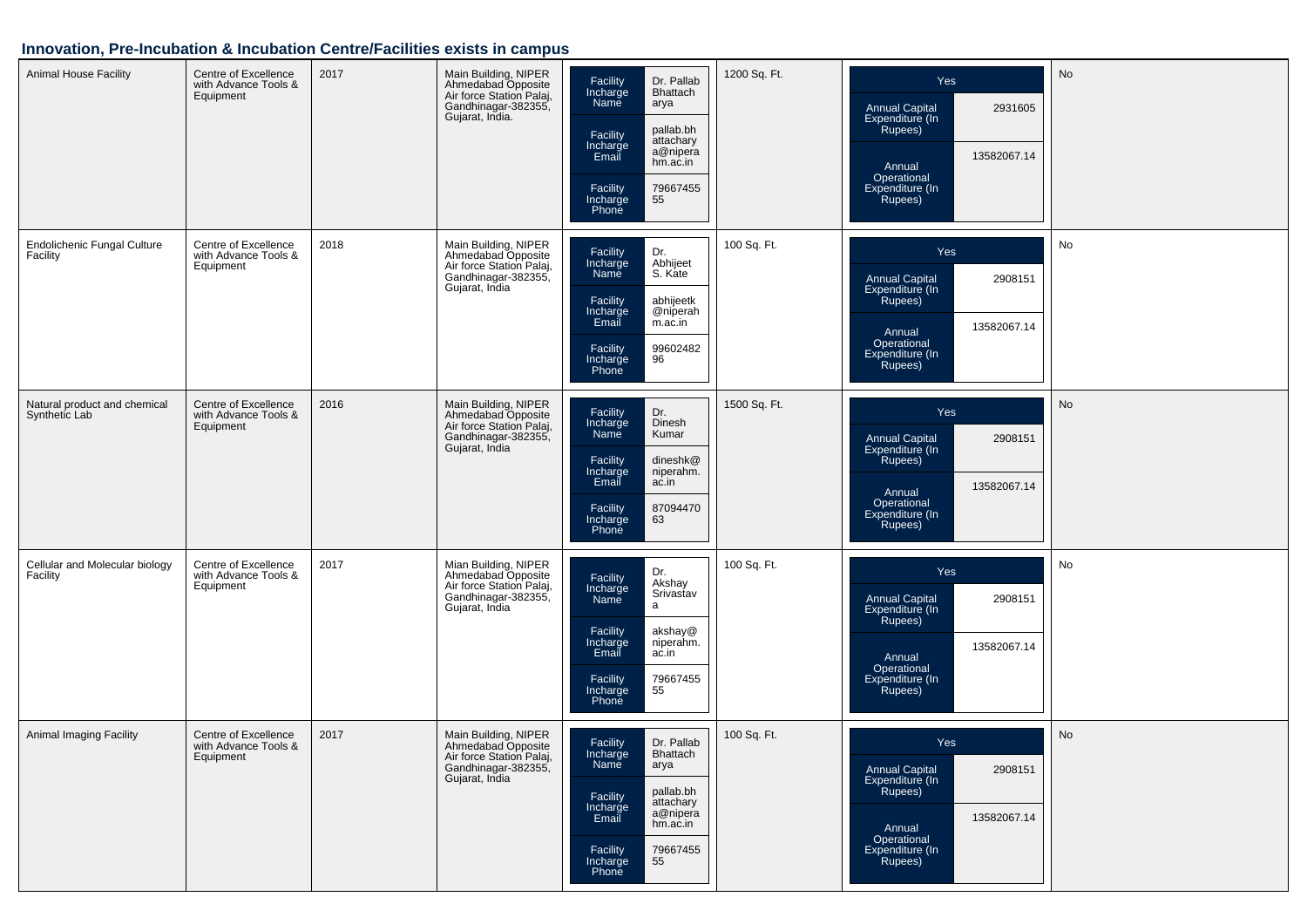# **Innovation, Pre-Incubation & Incubation Centre/Facilities exists in campus**

| <b>Animal House Facility</b>                   | Centre of Excellence<br>with Advance Tools &<br>Equipment | 2017 | Main Building, NIPER<br>Ahmedabad Opposite<br>Air force Station Palaj,<br>Gandhinagar-382355,<br>Gujarat, India. | Facility<br>Incharge<br>Name<br>Dr. Pallab<br>Bhattach<br>arya<br>pallab.bh<br>Facility<br>attachary<br>Incharge<br>Email<br>a@nipera<br>hm.ac.in<br>Facility<br>Incharge<br>79667455<br>55<br>Phone | 1200 Sq. Ft. | Yes<br>2931605<br><b>Annual Capital</b><br>Expenditure (In<br>Rupees)<br>13582067.14<br>Annual<br>Operational<br>Expenditure (In<br>Rupees) | <b>No</b> |
|------------------------------------------------|-----------------------------------------------------------|------|------------------------------------------------------------------------------------------------------------------|------------------------------------------------------------------------------------------------------------------------------------------------------------------------------------------------------|--------------|---------------------------------------------------------------------------------------------------------------------------------------------|-----------|
| <b>Endolichenic Fungal Culture</b><br>Facility | Centre of Excellence<br>with Advance Tools &<br>Equipment | 2018 | Main Building, NIPER<br>Ahmedabad Opposite<br>Air force Station Palaj,<br>Gandhinagar-382355,<br>Gujarat, India  | Facility<br>Dr.<br>Incharge<br>Name<br>Abhijeet<br>S. Kate<br>Facility<br>Incharge<br>abhijeetk<br>@niperah<br>Email<br>m.ac.in<br>99602482<br>Facility<br>96<br>Incharge<br>Phone                   | 100 Sq. Ft.  | Yes<br>Annual Capital<br>Expenditure (In<br>2908151<br>Rupees)<br>13582067.14<br>Annual<br>Operational<br>Expenditure (In<br>Rupees)        | No        |
| Natural product and chemical<br>Synthetic Lab  | Centre of Excellence<br>with Advance Tools &<br>Equipment | 2016 | Main Building, NIPER<br>Ahmedabad Opposite<br>Air force Station Palaj,<br>Gandhinagar-382355,<br>Gujarat, India  | Facility<br>Incharge<br>Dr.<br>Dinesh<br><b>Name</b><br>Kumar<br>Facility<br>dineshk@<br>Incharge<br>niperahm.<br>Email<br>ac.in<br>87094470<br>Facility<br>Incharge<br>63<br>Phone                  | 1500 Sq. Ft. | Yes<br><b>Annual Capital</b><br>2908151<br>Expenditure (In<br>Rupees)<br>13582067.14<br>Annual<br>Operational<br>Expenditure (In<br>Rupees) | No        |
| Cellular and Molecular biology<br>Facility     | Centre of Excellence<br>with Advance Tools &<br>Equipment | 2017 | Mian Building, NIPER<br>Ahmedabad Opposite<br>Air force Station Palaj,<br>Gandhinagar-382355,<br>Gujarat, India  | Dr.<br>Facility<br>Akshay<br>Incharge<br>Name<br>Srivastav<br>a<br>Facility<br>akshay@<br>Incharge<br>Email<br>niperahm.<br>ac.in<br>79667455<br>Facility<br>55<br>Incharge<br>Phone                 | 100 Sq. Ft.  | Yes<br>Annual Capital<br>Expenditure (In<br>2908151<br>Rupees)<br>13582067.14<br>Annual<br>Operational<br>Expenditure (In<br>Rupees)        | No        |
| Animal Imaging Facility                        | Centre of Excellence<br>with Advance Tools &<br>Equipment | 2017 | Main Building, NIPER<br>Ahmedabad Opposite<br>Air force Station Palaj,<br>Gandhinagar-382355,<br>Gujarat, India  | Facility<br>Dr. Pallab<br>Incharge<br>Bhattach<br>Name<br>arya<br>pallab.bh<br>Facility<br>attachary<br>Incharge<br>Email<br>a@nipera<br>hm.ac.in<br>79667455<br>Facility<br>55<br>Incharge<br>Phone | 100 Sq. Ft.  | Yes<br><b>Annual Capital</b><br>2908151<br>Expenditure (In<br>Rupees)<br>13582067.14<br>Annual<br>Operational<br>Expenditure (In<br>Rupees) | No        |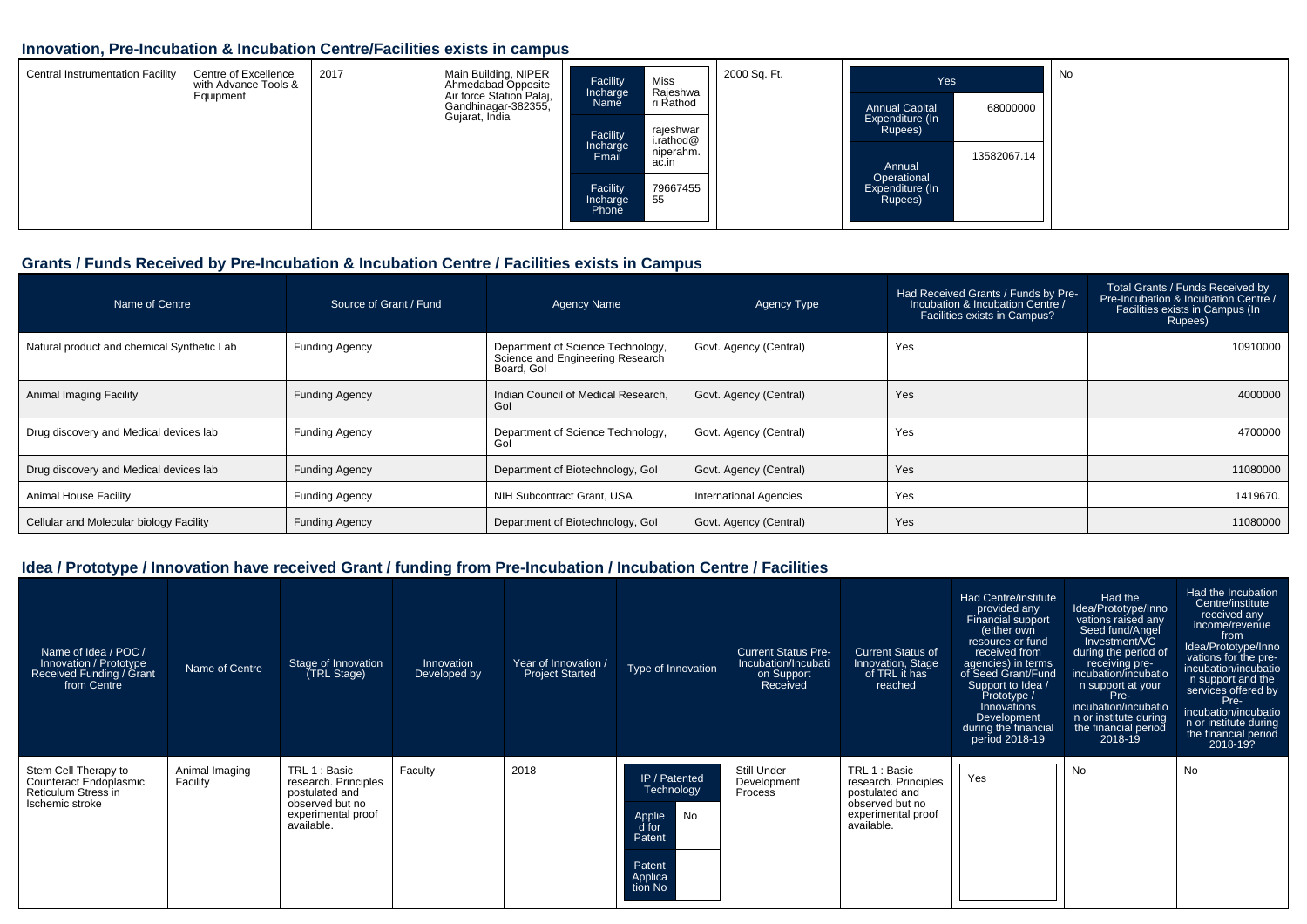#### **Innovation, Pre-Incubation & Incubation Centre/Facilities exists in campus**

| <b>Central Instrumentation Facility</b> | Centre of Excellence<br>with Advance Tools &<br>Equipment | 2017 | Main Building, NIPER<br>Ahmedabad Opposite<br>Air force Station Palaj,<br>Gandhinagar-382355, | Facility<br>Incharge<br>Name  | Miss<br>Rajeshwa<br>ri Rathod               | 2000 Sq. Ft. | Yes<br><b>Annual Capital</b>              | 68000000    | No |
|-----------------------------------------|-----------------------------------------------------------|------|-----------------------------------------------------------------------------------------------|-------------------------------|---------------------------------------------|--------------|-------------------------------------------|-------------|----|
|                                         |                                                           |      | Gujarat, India                                                                                | Facility<br>Incharge<br>Email | rajeshwar<br>i.rathod@<br>niperahm<br>ac.in |              | Expenditure (In<br>Rupees)<br>Annual      | 13582067.14 |    |
|                                         |                                                           |      |                                                                                               | Facility<br>Incharge<br>Phone | 79667455<br>-55                             |              | Operational<br>Expenditure (In<br>Rupees) |             |    |

#### **Grants / Funds Received by Pre-Incubation & Incubation Centre / Facilities exists in Campus**

| Name of Centre                             | Source of Grant / Fund | <b>Agency Name</b>                                                                  | Agency Type                   | Had Received Grants / Funds by Pre-<br>Incubation & Incubation Centre /<br>Facilities exists in Campus? | Total Grants / Funds Received by<br>Pre-Incubation & Incubation Centre /<br>Facilities exists in Campus (In<br>Rupees) |
|--------------------------------------------|------------------------|-------------------------------------------------------------------------------------|-------------------------------|---------------------------------------------------------------------------------------------------------|------------------------------------------------------------------------------------------------------------------------|
| Natural product and chemical Synthetic Lab | <b>Funding Agency</b>  | Department of Science Technology,<br>Science and Engineering Research<br>Board, Gol | Govt. Agency (Central)        | Yes                                                                                                     | 10910000                                                                                                               |
| Animal Imaging Facility                    | <b>Funding Agency</b>  | Indian Council of Medical Research,<br>Gol                                          | Govt. Agency (Central)        | Yes                                                                                                     | 4000000                                                                                                                |
| Drug discovery and Medical devices lab     | <b>Funding Agency</b>  | Department of Science Technology,<br>Gol                                            | Govt. Agency (Central)        | Yes                                                                                                     | 4700000                                                                                                                |
| Drug discovery and Medical devices lab     | <b>Funding Agency</b>  | Department of Biotechnology, Gol                                                    | Govt. Agency (Central)        | Yes                                                                                                     | 11080000                                                                                                               |
| <b>Animal House Facility</b>               | <b>Funding Agency</b>  | NIH Subcontract Grant, USA                                                          | <b>International Agencies</b> | Yes                                                                                                     | 1419670.                                                                                                               |
| Cellular and Molecular biology Facility    | <b>Funding Agency</b>  | Department of Biotechnology, Gol                                                    | Govt. Agency (Central)        | Yes                                                                                                     | 11080000                                                                                                               |

| Name of Idea / POC /<br>Innovation / Prototype<br>Received Funding / Grant<br>from Centre | Name of Centre             | Stage of Innovation<br>(TRL Stage)                                                                             | Innovation<br>Developed by | Year of Innovation /<br><b>Project Started</b> | Type of Innovation                                                                                    | <b>Current Status Pre-</b><br>Incubation/Incubati<br>on Support<br>Received | <b>Current Status of</b><br>Innovation, Stage<br>of TRL it has<br>reached                                      | Had Centre/institute<br>provided any<br>Financial support<br>either own<br>resource or fund<br>received from<br>agencies) in terms<br>of Seed Grant/Fund<br>Support to Idea /<br>Prototype /<br>Innovations<br>Development<br>during the financial<br>period 2018-19 | Had the<br>Idea/Prototype/Inno<br>vations raised any<br>Seed fund/Angel<br>Investment/VC<br>during the period of<br>receiving pre-<br>incubation/incubatio<br>n support at your<br>Pre-<br>incubation/incubatio<br>n or institute during<br>the financial period<br>2018-19 | Had the Incubation<br>Centre/institute<br>received any<br>income/revenue<br>from<br>Idea/Prototype/Inno<br>vations for the pre-<br>incubation/incubatio<br>n support and the<br>services offered by<br>Pre-<br>incubation/incubatio<br>n or institute during<br>the financial period<br>2018-19? |
|-------------------------------------------------------------------------------------------|----------------------------|----------------------------------------------------------------------------------------------------------------|----------------------------|------------------------------------------------|-------------------------------------------------------------------------------------------------------|-----------------------------------------------------------------------------|----------------------------------------------------------------------------------------------------------------|----------------------------------------------------------------------------------------------------------------------------------------------------------------------------------------------------------------------------------------------------------------------|-----------------------------------------------------------------------------------------------------------------------------------------------------------------------------------------------------------------------------------------------------------------------------|--------------------------------------------------------------------------------------------------------------------------------------------------------------------------------------------------------------------------------------------------------------------------------------------------|
| Stem Cell Therapy to<br>Counteract Endoplasmic<br>Reticulum Stress in<br>Ischemic stroke  | Animal Imaging<br>Facility | TRL 1 : Basic<br>research. Principles<br>postulated and<br>observed but no<br>experimental proof<br>available. | Faculty                    | 2018                                           | IP / Patented<br><b>Technology</b><br>No<br>Applie<br>d for<br>Patent<br>Patent<br>Applica<br>tion No | Still Under<br>Development<br>Process                                       | TRL 1 : Basic<br>research. Principles<br>postulated and<br>observed but no<br>experimental proof<br>available. | Yes                                                                                                                                                                                                                                                                  | No                                                                                                                                                                                                                                                                          | No                                                                                                                                                                                                                                                                                               |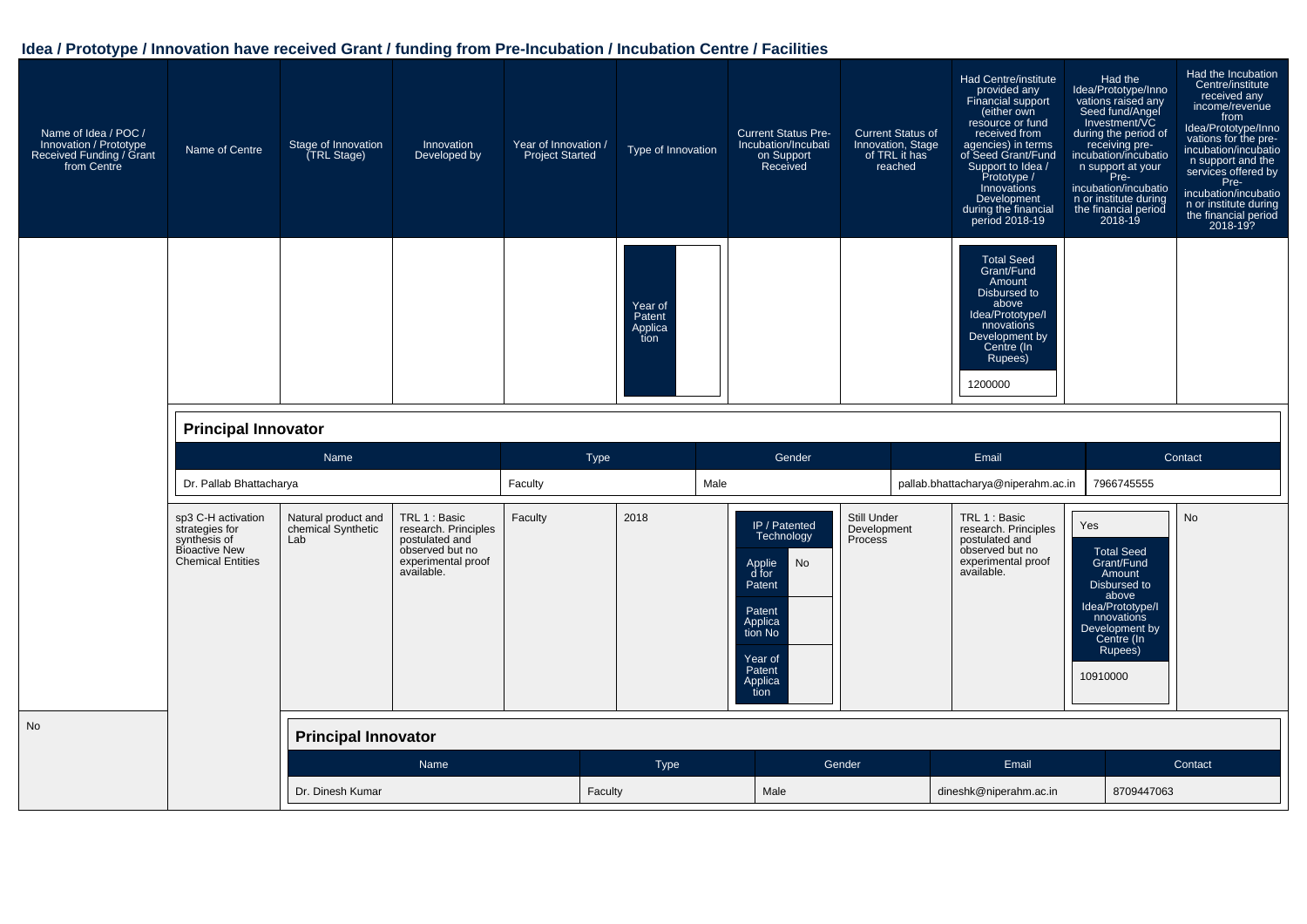| Name of Idea / POC /<br>Innovation / Prototype<br>Received Funding / Grant<br>from Centre | Name of Centre                                                                                    | Stage of Innovation<br>(TRL Stage)               | Innovation<br>Developed by                                                                                     | Year of Innovation /<br><b>Project Started</b> | Type of Innovation                   | <b>Current Status Pre-</b><br>Incubation/Incubati<br>on Support<br>Received                                                            | <b>Current Status of</b><br>Innovation, Stage<br>of TRL it has<br>reached | <b>Had Centre/institute</b><br>provided any<br>Financial support<br>(either own<br>resource or fund<br>received from<br>agencies) in terms<br>of Seed Grant/Fund<br>Support to Idea /<br>Prototype /<br>Innovations<br>Development<br>during the financial<br>period 2018-19 | Had the<br>ldea/Prototype/Inno<br>vations raised any<br>Seed fund/Angel<br>Investment/VC<br>during the period of<br>receiving pre-<br>incubation/incubatio<br>n support at your<br>Pre-<br>incubation/incubatio<br>n or institute during<br>the financial period<br>2018-19 | Had the Incubation<br>Centre/institute<br>received any<br>income/revenue<br>from<br>Idea/Prototype/Inno<br>vations for the pre-<br>incubation/incubatio<br>n support and the<br>services offered by<br>Pre-<br>incubation/incubatio<br>n or institute during<br>the financial period<br>2018-19? |
|-------------------------------------------------------------------------------------------|---------------------------------------------------------------------------------------------------|--------------------------------------------------|----------------------------------------------------------------------------------------------------------------|------------------------------------------------|--------------------------------------|----------------------------------------------------------------------------------------------------------------------------------------|---------------------------------------------------------------------------|------------------------------------------------------------------------------------------------------------------------------------------------------------------------------------------------------------------------------------------------------------------------------|-----------------------------------------------------------------------------------------------------------------------------------------------------------------------------------------------------------------------------------------------------------------------------|--------------------------------------------------------------------------------------------------------------------------------------------------------------------------------------------------------------------------------------------------------------------------------------------------|
|                                                                                           |                                                                                                   |                                                  |                                                                                                                |                                                | Year of<br>Patent<br>Applica<br>tion |                                                                                                                                        |                                                                           | <b>Total Seed</b><br>Grant/Fund<br>Amount<br>Disbursed to<br>above<br>Idea/Prototype/I<br>nnovations<br>Development by<br>Centre (In<br>Rupees)<br>1200000                                                                                                                   |                                                                                                                                                                                                                                                                             |                                                                                                                                                                                                                                                                                                  |
|                                                                                           | <b>Principal Innovator</b>                                                                        |                                                  |                                                                                                                |                                                |                                      |                                                                                                                                        |                                                                           |                                                                                                                                                                                                                                                                              |                                                                                                                                                                                                                                                                             |                                                                                                                                                                                                                                                                                                  |
|                                                                                           |                                                                                                   |                                                  |                                                                                                                |                                                |                                      |                                                                                                                                        |                                                                           |                                                                                                                                                                                                                                                                              |                                                                                                                                                                                                                                                                             |                                                                                                                                                                                                                                                                                                  |
|                                                                                           |                                                                                                   | <b>Name</b>                                      |                                                                                                                | Type                                           |                                      | Gender                                                                                                                                 |                                                                           | Email                                                                                                                                                                                                                                                                        |                                                                                                                                                                                                                                                                             | Contact                                                                                                                                                                                                                                                                                          |
|                                                                                           | Dr. Pallab Bhattacharya                                                                           |                                                  |                                                                                                                | Faculty                                        | Male                                 |                                                                                                                                        |                                                                           | pallab.bhattacharya@niperahm.ac.in                                                                                                                                                                                                                                           | 7966745555                                                                                                                                                                                                                                                                  |                                                                                                                                                                                                                                                                                                  |
|                                                                                           | sp3 C-H activation<br>strategies for<br>synthesis of<br>Bioactive New<br><b>Chemical Entities</b> | Natural product and<br>chemical Synthetic<br>Lab | TRL 1 : Basic<br>research. Principles<br>postulated and<br>observed but no<br>experimental proof<br>available. | Faculty                                        | 2018                                 | IP / Patented<br>Technology<br>No<br>Applie<br>d for<br>Patent<br>Patent<br>Applica<br>tion No<br>Year of<br>Patent<br>Applica<br>tion | Still Under<br>Development<br>Process                                     | TRL 1 : Basic<br>research. Principles<br>postulated and<br>observed but no<br>experimental proof<br>available.                                                                                                                                                               | Yes<br><b>Total Seed</b><br>Grant/Fund<br>Amount<br>Disbursed to<br>above<br>Idea/Prototype/I<br>nnovations<br>Development by<br>Centre (In<br>Rupees)<br>10910000                                                                                                          | <b>No</b>                                                                                                                                                                                                                                                                                        |
| <b>No</b>                                                                                 |                                                                                                   | <b>Principal Innovator</b>                       |                                                                                                                |                                                |                                      |                                                                                                                                        |                                                                           |                                                                                                                                                                                                                                                                              |                                                                                                                                                                                                                                                                             |                                                                                                                                                                                                                                                                                                  |
|                                                                                           |                                                                                                   |                                                  | Name                                                                                                           |                                                | Type                                 |                                                                                                                                        | Gender                                                                    | Email                                                                                                                                                                                                                                                                        |                                                                                                                                                                                                                                                                             | Contact                                                                                                                                                                                                                                                                                          |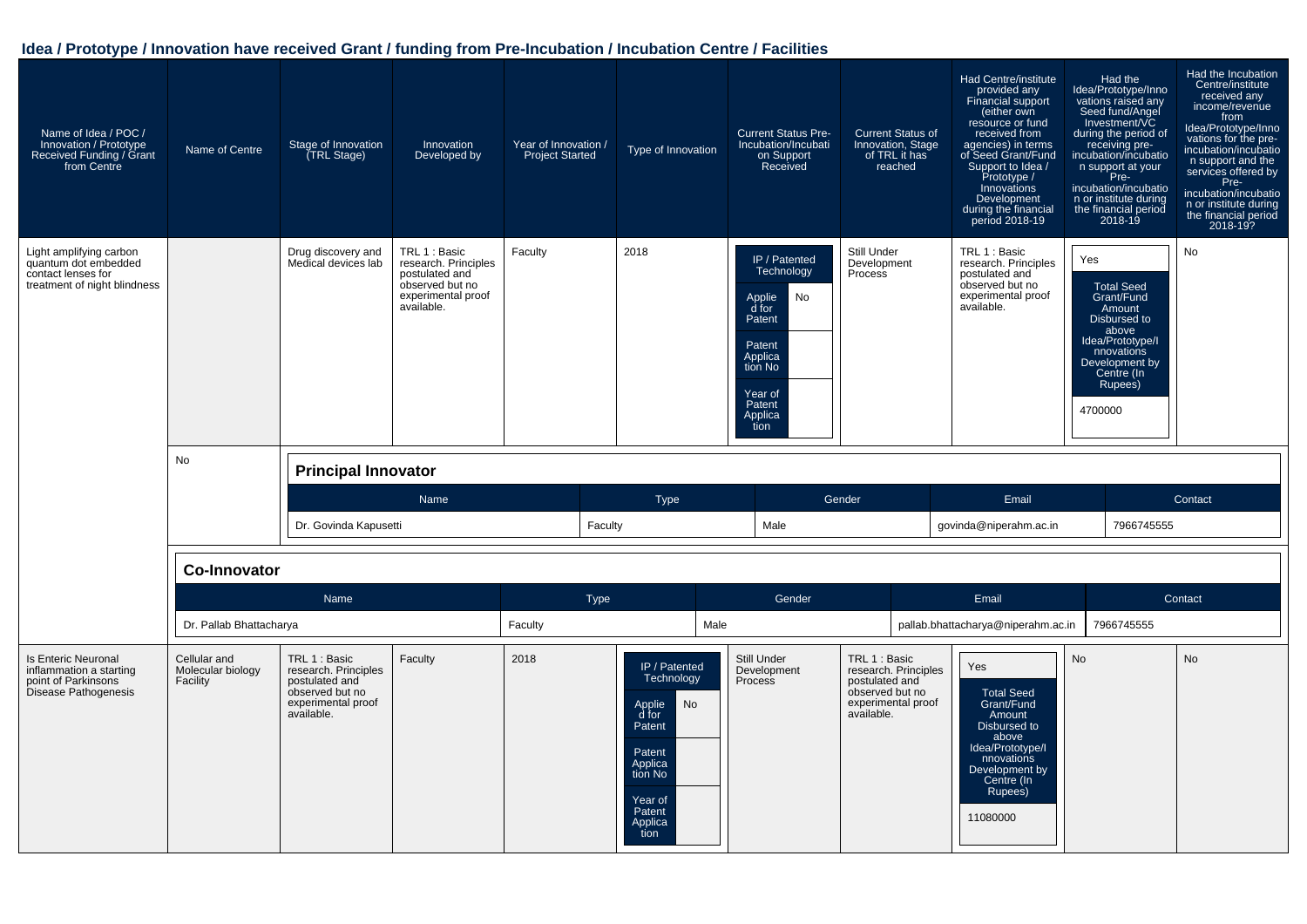| Name of Idea / POC /<br>Innovation / Prototype<br>Received Funding / Grant<br>from Centre             | Name of Centre          | Stage of Innovation<br>TRL Stage)         | Innovation<br>Developed by                                                                                     | Year of Innovation /<br><b>Project Started</b> | Type of Innovation | <b>Current Status Pre-</b><br>Incubation/Incubati<br>on Support<br>Received                                                            | <b>Current Status of</b><br>Innovation, Stage<br>of TRL it has<br>reached | Had Centre/institute<br>provided any<br>Financial support<br>(either own<br>resource or fund<br>received from<br>agencies) in terms<br>of Seed Grant/Fund<br>Support to Idea /<br>Prototype /<br>Innovations<br>Development<br>during the financial<br>period 2018-19 | Had the<br>Idea/Prototype/Inno<br>vations raised any<br>Seed fund/Angel<br>Investment/VC<br>during the period of<br>receiving pre-<br>incubation/incubatio<br>n support at your<br>Pre-<br>incubation/incubatio<br>n or institute during<br>the financial period<br>2018-19 | Had the Incubation<br>Centre/institute<br>received any<br>income/revenue<br>from<br>Idea/Prototype/Inno<br>vations for the pre-<br>incubation/incubatio<br>n support and the<br>services offered by<br>Pre-<br>incubation/incubatio<br>n or institute during<br>the financial period<br>2018-19? |
|-------------------------------------------------------------------------------------------------------|-------------------------|-------------------------------------------|----------------------------------------------------------------------------------------------------------------|------------------------------------------------|--------------------|----------------------------------------------------------------------------------------------------------------------------------------|---------------------------------------------------------------------------|-----------------------------------------------------------------------------------------------------------------------------------------------------------------------------------------------------------------------------------------------------------------------|-----------------------------------------------------------------------------------------------------------------------------------------------------------------------------------------------------------------------------------------------------------------------------|--------------------------------------------------------------------------------------------------------------------------------------------------------------------------------------------------------------------------------------------------------------------------------------------------|
| Light amplifying carbon<br>quantum dot embedded<br>contact lenses for<br>treatment of night blindness | No                      | Drug discovery and<br>Medical devices lab | TRL 1 : Basic<br>research. Principles<br>postulated and<br>observed but no<br>experimental proof<br>available. | Faculty                                        | 2018               | IP / Patented<br>Technology<br>Applie<br>d for<br>No<br>Patent<br>Patent<br>Applica<br>tion No<br>Year of<br>Patent<br>Applica<br>tion | Still Under<br>Development<br>Process                                     | TRL 1 : Basic<br>research. Principles<br>postulated and<br>observed but no<br>experimental proof<br>available.                                                                                                                                                        | Yes<br><b>Total Seed</b><br>Grant/Fund<br>Amount<br>Disbursed to<br>above<br>Idea/Prototype/I<br>nnovations<br>Development by<br>Centre (In<br>Rupees)<br>4700000                                                                                                           | No                                                                                                                                                                                                                                                                                               |
|                                                                                                       |                         | <b>Principal Innovator</b>                |                                                                                                                |                                                |                    |                                                                                                                                        |                                                                           |                                                                                                                                                                                                                                                                       |                                                                                                                                                                                                                                                                             |                                                                                                                                                                                                                                                                                                  |
|                                                                                                       |                         |                                           |                                                                                                                |                                                |                    |                                                                                                                                        |                                                                           |                                                                                                                                                                                                                                                                       |                                                                                                                                                                                                                                                                             |                                                                                                                                                                                                                                                                                                  |
|                                                                                                       |                         | Dr. Govinda Kapusetti                     | Name                                                                                                           | Faculty                                        | <b>Type</b>        | Male                                                                                                                                   | Gender                                                                    | Email<br>govinda@niperahm.ac.in                                                                                                                                                                                                                                       | 7966745555                                                                                                                                                                                                                                                                  | Contact                                                                                                                                                                                                                                                                                          |
|                                                                                                       | <b>Co-Innovator</b>     |                                           |                                                                                                                |                                                |                    |                                                                                                                                        |                                                                           |                                                                                                                                                                                                                                                                       |                                                                                                                                                                                                                                                                             |                                                                                                                                                                                                                                                                                                  |
|                                                                                                       |                         | Name                                      |                                                                                                                | <b>Type</b>                                    |                    | Gender                                                                                                                                 |                                                                           | Email                                                                                                                                                                                                                                                                 |                                                                                                                                                                                                                                                                             | Contact                                                                                                                                                                                                                                                                                          |
|                                                                                                       | Dr. Pallab Bhattacharya |                                           |                                                                                                                | Faculty                                        | Male               |                                                                                                                                        |                                                                           | pallab.bhattacharya@niperahm.ac.in                                                                                                                                                                                                                                    | 7966745555                                                                                                                                                                                                                                                                  |                                                                                                                                                                                                                                                                                                  |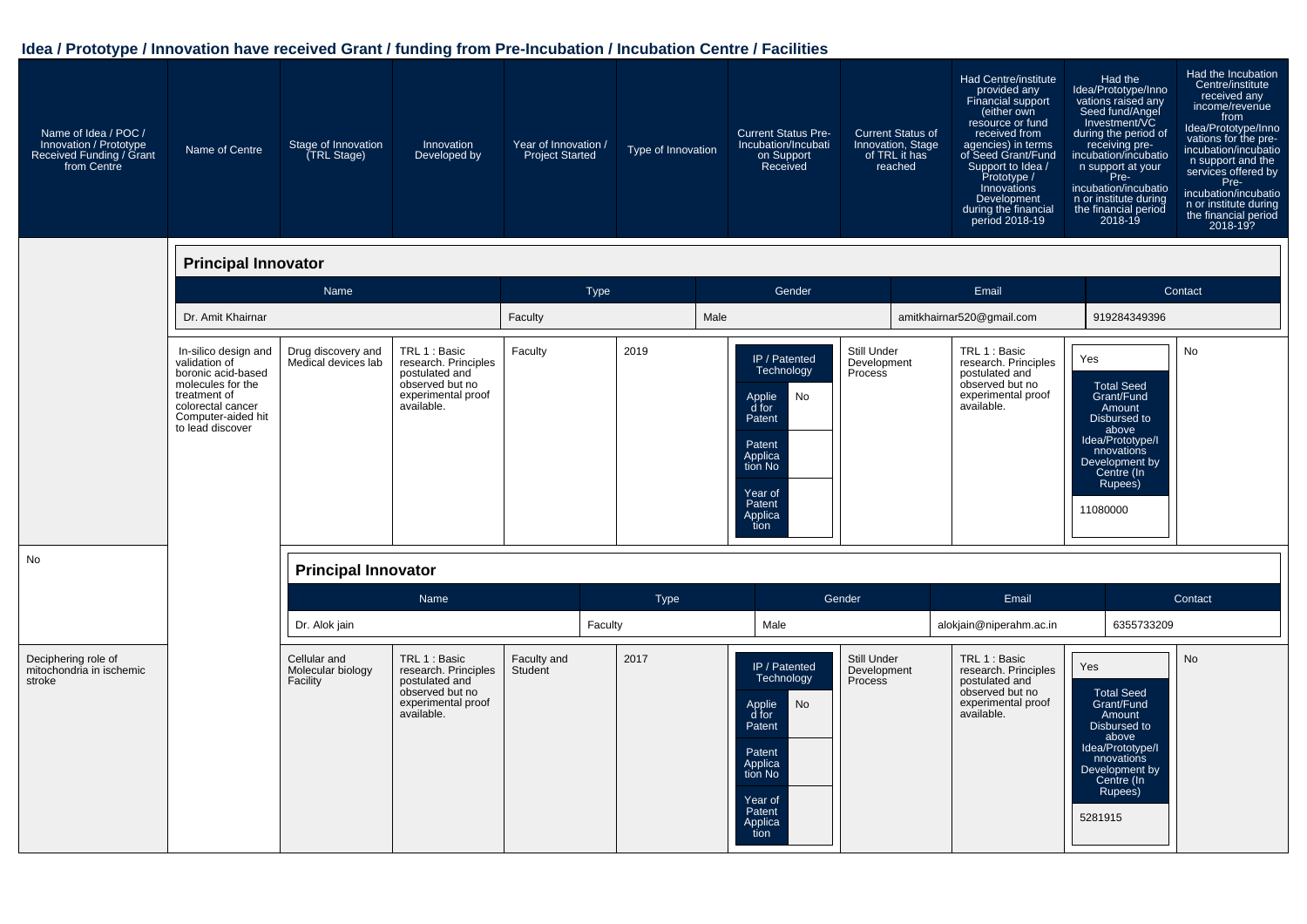| Name of Idea / POC /<br>Innovation / Prototype<br>Received Funding / Grant<br>from Centre | Name of Centre                                                                                                                                                  | Stage of Innovation<br>(TRL Stage)            | Innovation<br>Developed by                                                                                     | Year of Innovation /<br><b>Project Started</b> | Type of Innovation | <b>Current Status Pre-</b><br>Incubation/Incubati<br>on Support<br>Received                                                            | <b>Current Status of</b><br>Innovation, Stage<br>of TRL it has<br>reached | Had Centre/institute<br>provided any<br>Financial support<br>(either own<br>resource or fund<br>received from<br>agencies) in terms<br>of Seed Grant/Fund<br>Support to Idea /<br>Prototype /<br>Innovations<br>Development<br>during the financial<br>period 2018-19 | Had the<br>Idea/Prototype/Inno<br>vations raised any<br>Seed fund/Angel<br>Investment/VC<br>during the period of<br>receiving pre-<br>incubation/incubatio<br>n support at your<br>Pre-<br>incubation/incubatio<br>n or institute during<br>the financial period<br>2018-19 | Had the Incubation<br>Centre/institute<br>received any<br>income/revenue<br>from<br>Idea/Prototype/Inno<br>vations for the pre-<br>incubation/incubatio<br>n support and the<br>services offered by<br>Pre-<br>incubation/incubatio<br>n or institute during<br>the financial period<br>2018-19? |
|-------------------------------------------------------------------------------------------|-----------------------------------------------------------------------------------------------------------------------------------------------------------------|-----------------------------------------------|----------------------------------------------------------------------------------------------------------------|------------------------------------------------|--------------------|----------------------------------------------------------------------------------------------------------------------------------------|---------------------------------------------------------------------------|-----------------------------------------------------------------------------------------------------------------------------------------------------------------------------------------------------------------------------------------------------------------------|-----------------------------------------------------------------------------------------------------------------------------------------------------------------------------------------------------------------------------------------------------------------------------|--------------------------------------------------------------------------------------------------------------------------------------------------------------------------------------------------------------------------------------------------------------------------------------------------|
|                                                                                           | <b>Principal Innovator</b>                                                                                                                                      |                                               |                                                                                                                |                                                |                    |                                                                                                                                        |                                                                           |                                                                                                                                                                                                                                                                       |                                                                                                                                                                                                                                                                             |                                                                                                                                                                                                                                                                                                  |
|                                                                                           |                                                                                                                                                                 | Name                                          |                                                                                                                | <b>Type</b>                                    |                    | Gender                                                                                                                                 |                                                                           | Email                                                                                                                                                                                                                                                                 |                                                                                                                                                                                                                                                                             | Contact                                                                                                                                                                                                                                                                                          |
|                                                                                           | Dr. Amit Khairnar                                                                                                                                               |                                               |                                                                                                                | Faculty                                        | Male               |                                                                                                                                        |                                                                           | amitkhairnar520@gmail.com                                                                                                                                                                                                                                             | 919284349396                                                                                                                                                                                                                                                                |                                                                                                                                                                                                                                                                                                  |
|                                                                                           | In-silico design and<br>validation of<br>boronic acid-based<br>molecules for the<br>treatment of<br>colorectal cancer<br>Computer-aided hit<br>to lead discover | Drug discovery and<br>Medical devices lab     | TRL 1 : Basic<br>research. Principles<br>postulated and<br>observed but no<br>experimental proof<br>available. | Faculty                                        | 2019               | IP / Patented<br>Technology<br>Applie<br>No<br>d for<br>Patent<br>Patent<br>Applica<br>tion No<br>Year of<br>Patent<br>Applica<br>tion | Still Under<br>Development<br>Process                                     | TRL 1 : Basic<br>research. Principles<br>postulated and<br>observed but no<br>experimental proof<br>available.                                                                                                                                                        | Yes<br><b>Total Seed</b><br>Grant/Fund<br>Amount<br>Disbursed to<br>above<br>Idea/Prototype/I<br>nnovations<br>Development by<br>Centre (In<br>Rupees)<br>11080000                                                                                                          | No                                                                                                                                                                                                                                                                                               |
| <b>No</b>                                                                                 |                                                                                                                                                                 | <b>Principal Innovator</b>                    |                                                                                                                |                                                |                    |                                                                                                                                        |                                                                           |                                                                                                                                                                                                                                                                       |                                                                                                                                                                                                                                                                             |                                                                                                                                                                                                                                                                                                  |
|                                                                                           |                                                                                                                                                                 |                                               | Name                                                                                                           |                                                | Type               |                                                                                                                                        | Gender                                                                    | Email                                                                                                                                                                                                                                                                 |                                                                                                                                                                                                                                                                             | Contact                                                                                                                                                                                                                                                                                          |
|                                                                                           |                                                                                                                                                                 | Dr. Alok jain                                 |                                                                                                                |                                                | Faculty            | Male                                                                                                                                   |                                                                           | alokjain@niperahm.ac.in                                                                                                                                                                                                                                               | 6355733209                                                                                                                                                                                                                                                                  |                                                                                                                                                                                                                                                                                                  |
| Deciphering role of<br>mitochondria in ischemic<br>stroke                                 |                                                                                                                                                                 | Cellular and<br>Molecular biology<br>Facility | TRL 1 : Basic<br>research. Principles<br>postulated and<br>observed but no<br>experimental proof<br>available. | Faculty and<br>Student                         | 2017               | IP / Patented<br>Technology<br>No<br>Applie<br>d for<br>Patent<br>Patent<br>Applica<br>tion No<br>Year of<br>Patent<br>Applica<br>tion | Still Under<br>Development<br>Process                                     | TRL 1 : Basic<br>research. Principles<br>postulated and<br>observed but no<br>experimental proof<br>available.                                                                                                                                                        | Yes<br><b>Total Seed</b><br>Grant/Fund<br>Amount<br>Disbursed to<br>above<br>Idea/Prototype/I<br>nnovations<br>Development by<br>Centre (In<br>Rupees)<br>5281915                                                                                                           | <b>No</b>                                                                                                                                                                                                                                                                                        |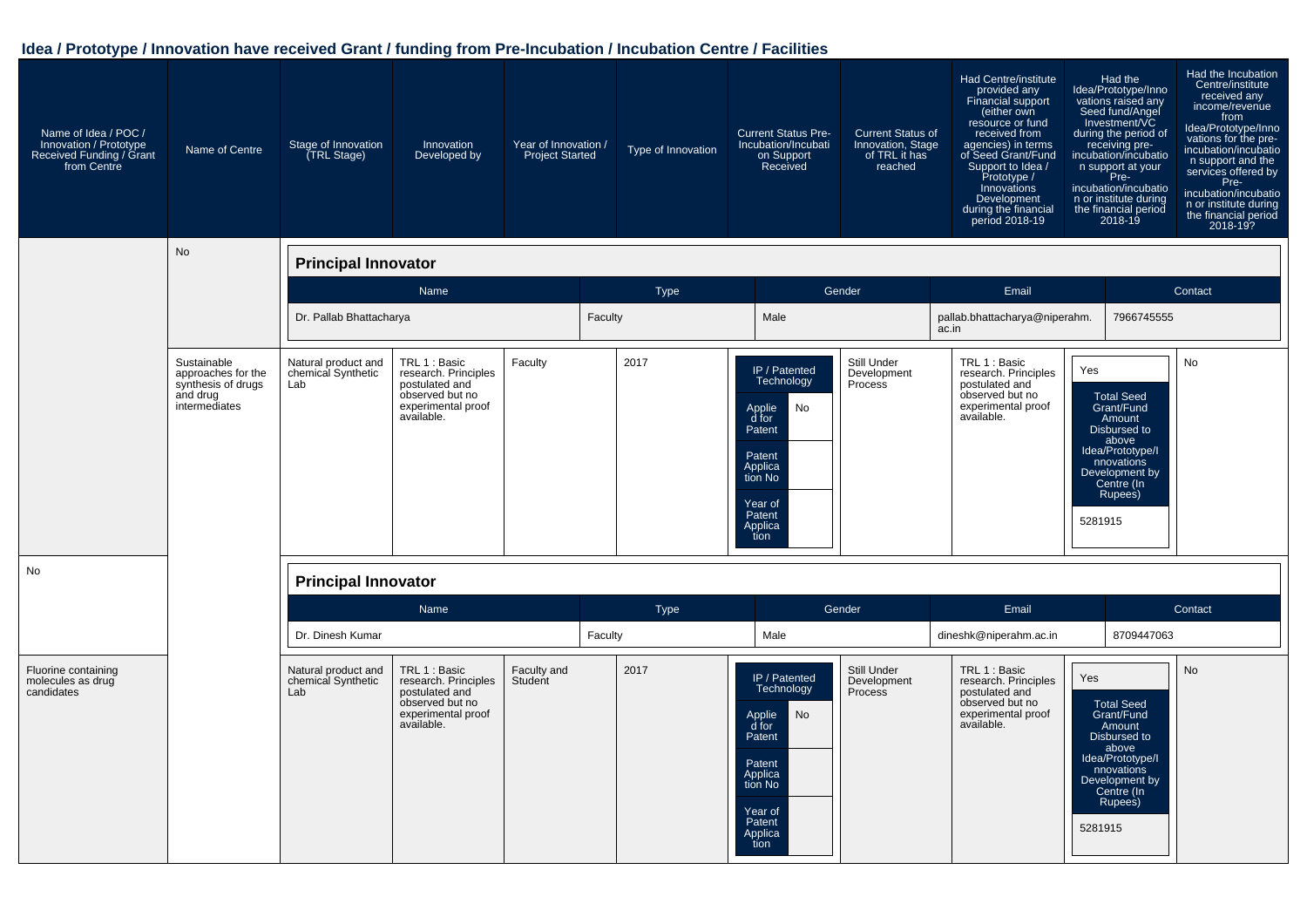| Name of Idea / POC /<br>Innovation / Prototype<br>Received Funding / Grant<br>from Centre | Name of Centre                                                                       | Stage of Innovation<br>TRL Stage)                | Innovation<br>Developed by                                                                                     | Year of Innovation /<br><b>Project Started</b> |         | Type of Innovation | <b>Current Status Pre-</b><br>Incubation/Incubati<br>on Support<br>Received                                                            | <b>Current Status of</b><br>Innovation, Stage<br>of TRL it has<br>reached | Had Centre/institute<br>provided any<br><b>Financial support</b><br>(either own<br>resource or fund<br>received from<br>agencies) in terms<br>of Seed Grant/Fund<br>Support to Idea /<br>Prototype /<br>Innovations<br>Development<br>during the financial<br>period 2018-19 |                | Had the<br>Idea/Prototype/Inno<br>vations raised any<br>Seed fund/Angel<br>Investment/VC<br>during the period of<br>receiving pre-<br>incubation/incubatio<br>n support at your<br>Pre-<br>incubation/incubatio<br>n or institute during<br>the financial period<br>$2018 - 19$ | Had the Incubation<br>Centre/institute<br>received any<br>income/revenue<br>from<br>Idea/Prototype/Inno<br>vations for the pre-<br>incubation/incubatio<br>n support and the<br>services offered by<br>Pre-<br>incubation/incubatio<br>n or institute during<br>the financial period<br>2018-19? |
|-------------------------------------------------------------------------------------------|--------------------------------------------------------------------------------------|--------------------------------------------------|----------------------------------------------------------------------------------------------------------------|------------------------------------------------|---------|--------------------|----------------------------------------------------------------------------------------------------------------------------------------|---------------------------------------------------------------------------|------------------------------------------------------------------------------------------------------------------------------------------------------------------------------------------------------------------------------------------------------------------------------|----------------|---------------------------------------------------------------------------------------------------------------------------------------------------------------------------------------------------------------------------------------------------------------------------------|--------------------------------------------------------------------------------------------------------------------------------------------------------------------------------------------------------------------------------------------------------------------------------------------------|
|                                                                                           | No                                                                                   | <b>Principal Innovator</b>                       |                                                                                                                |                                                |         |                    |                                                                                                                                        |                                                                           |                                                                                                                                                                                                                                                                              |                |                                                                                                                                                                                                                                                                                 |                                                                                                                                                                                                                                                                                                  |
|                                                                                           |                                                                                      |                                                  | Name                                                                                                           |                                                |         | Type               |                                                                                                                                        | Gender                                                                    | Email                                                                                                                                                                                                                                                                        |                |                                                                                                                                                                                                                                                                                 | Contact                                                                                                                                                                                                                                                                                          |
|                                                                                           |                                                                                      | Dr. Pallab Bhattacharya                          |                                                                                                                |                                                | Faculty |                    | Male                                                                                                                                   |                                                                           | pallab.bhattacharya@niperahm.<br>ac.in                                                                                                                                                                                                                                       |                | 7966745555                                                                                                                                                                                                                                                                      |                                                                                                                                                                                                                                                                                                  |
|                                                                                           | Sustainable<br>approaches for the<br>synthesis of drugs<br>and drug<br>intermediates | Natural product and<br>chemical Synthetic<br>Lab | TRL 1 : Basic<br>research. Principles<br>postulated and<br>observed but no<br>experimental proof<br>available. | Faculty                                        |         | 2017               | IP / Patented<br>Technology<br>No<br>Applie<br>d for<br>Patent<br>Patent<br>Applica<br>tion No<br>Year of<br>Patent<br>Applica<br>tion | Still Under<br>Development<br>Process                                     | TRL 1 : Basic<br>research. Principles<br>postulated and<br>observed but no<br>experimental proof<br>available.                                                                                                                                                               | Yes<br>5281915 | <b>Total Seed</b><br>Grant/Fund<br>Amount<br>Disbursed to<br>above<br>Idea/Prototype/I<br>nnovations<br>Development by<br>Centre (In<br>Rupees)                                                                                                                                 | No                                                                                                                                                                                                                                                                                               |
| No                                                                                        |                                                                                      | <b>Principal Innovator</b>                       |                                                                                                                |                                                |         |                    |                                                                                                                                        |                                                                           |                                                                                                                                                                                                                                                                              |                |                                                                                                                                                                                                                                                                                 |                                                                                                                                                                                                                                                                                                  |
|                                                                                           |                                                                                      |                                                  | Name                                                                                                           |                                                |         | Type               |                                                                                                                                        | Gender                                                                    | Email                                                                                                                                                                                                                                                                        |                |                                                                                                                                                                                                                                                                                 | Contact                                                                                                                                                                                                                                                                                          |
|                                                                                           |                                                                                      | Dr. Dinesh Kumar                                 |                                                                                                                |                                                | Faculty |                    | Male                                                                                                                                   |                                                                           | dineshk@niperahm.ac.in                                                                                                                                                                                                                                                       |                | 8709447063                                                                                                                                                                                                                                                                      |                                                                                                                                                                                                                                                                                                  |
| Fluorine containing<br>molecules as drug<br>candidates                                    |                                                                                      | Natural product and<br>chemical Synthetic<br>Lab | TRL 1 : Basic<br>research. Principles<br>postulated and<br>observed but no<br>experimental proof<br>available. | Faculty and<br>Student                         |         | 2017               | IP / Patented<br>Technology<br>No<br>Applie<br>d for<br>Patent<br>Patent<br>Applica<br>tion No<br>Year of<br>Patent<br>Applica<br>tion | Still Under<br>Development<br>Process                                     | TRL 1 : Basic<br>research. Principles<br>postulated and<br>observed but no<br>experimental proof<br>available.                                                                                                                                                               | Yes<br>5281915 | <b>Total Seed</b><br>Grant/Fund<br>Amount<br>Disbursed to<br>above<br>Idea/Prototype/I<br>nnovations<br>Development by<br>Centre (In<br>Rupees)                                                                                                                                 | <b>No</b>                                                                                                                                                                                                                                                                                        |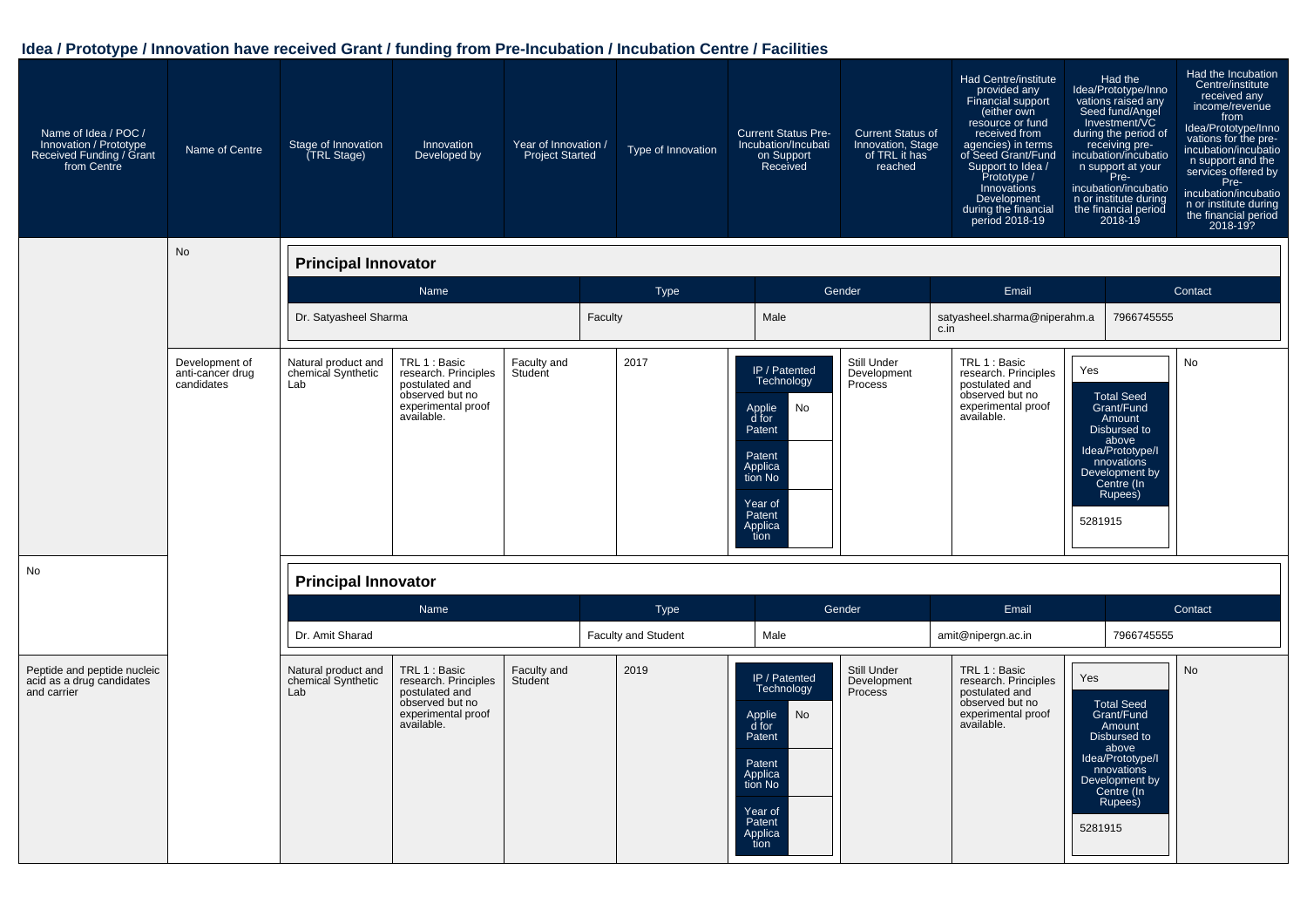| Name of Idea / POC /<br>Innovation / Prototype<br>Received Funding / Grant<br>from Centre | Name of Centre                                   | Stage of Innovation<br>TRL Stage)                | Innovation<br>Developed by                                                                                     | Year of Innovation /<br><b>Project Started</b> |         | Type of Innovation         | <b>Current Status Pre-</b><br>Incubation/Incubati<br>on Support<br>Received                                                                   | <b>Current Status of</b><br>Innovation, Stage<br>of TRL it has<br>reached | Had Centre/institute<br>provided any<br>Financial support<br>(either own<br>resource or fund<br>received from<br>agencies) in terms<br>of Seed Grant/Fund<br>Support to Idea /<br>Prototype /<br>Innovations<br>Development<br>during the financial<br>period 2018-19 |                | Had the<br>Idea/Prototype/Inno<br>vations raised any<br>Seed fund/Angel<br>Investment/VC<br>during the period of<br>receiving pre-<br>incubation/incubatio<br>n support at your<br>in Pre-<br>Pre-<br>incubation/incubatio<br>n or institute during<br>the financial period<br>2018-19 | Had the Incubation<br>Centre/institute<br>received any<br>income/revenue<br>from<br>Idea/Prototype/Inno<br>vations for the pre-<br>incubation/incubatio<br>n support and the<br>services offered by<br>Pre-<br>incubation/incubatio<br>n or institute during<br>the financial period<br>2018-19? |
|-------------------------------------------------------------------------------------------|--------------------------------------------------|--------------------------------------------------|----------------------------------------------------------------------------------------------------------------|------------------------------------------------|---------|----------------------------|-----------------------------------------------------------------------------------------------------------------------------------------------|---------------------------------------------------------------------------|-----------------------------------------------------------------------------------------------------------------------------------------------------------------------------------------------------------------------------------------------------------------------|----------------|----------------------------------------------------------------------------------------------------------------------------------------------------------------------------------------------------------------------------------------------------------------------------------------|--------------------------------------------------------------------------------------------------------------------------------------------------------------------------------------------------------------------------------------------------------------------------------------------------|
|                                                                                           | No                                               | <b>Principal Innovator</b>                       |                                                                                                                |                                                |         |                            |                                                                                                                                               |                                                                           |                                                                                                                                                                                                                                                                       |                |                                                                                                                                                                                                                                                                                        |                                                                                                                                                                                                                                                                                                  |
|                                                                                           |                                                  |                                                  | Name                                                                                                           |                                                |         | <b>Type</b>                |                                                                                                                                               | Gender                                                                    | Email                                                                                                                                                                                                                                                                 |                |                                                                                                                                                                                                                                                                                        | Contact                                                                                                                                                                                                                                                                                          |
|                                                                                           |                                                  | Dr. Satyasheel Sharma                            |                                                                                                                |                                                | Faculty |                            | Male                                                                                                                                          |                                                                           | satyasheel.sharma@niperahm.a<br>c.in                                                                                                                                                                                                                                  |                | 7966745555                                                                                                                                                                                                                                                                             |                                                                                                                                                                                                                                                                                                  |
|                                                                                           | Development of<br>anti-cancer drug<br>candidates | Natural product and<br>chemical Synthetic<br>Lab | TRL 1 : Basic<br>research. Principles<br>postulated and<br>observed but no<br>experimental proof<br>available. | Faculty and<br>Student                         |         | 2017                       | IP / Patented<br>Technology<br>No<br>Applie<br>d for<br>Patent<br>Patent<br>Applica<br>tion No<br>Year of<br>Patent<br>Applica<br>tion        | Still Under<br>Development<br>Process                                     | TRL 1 : Basic<br>research. Principles<br>postulated and<br>observed but no<br>experimental proof<br>available.                                                                                                                                                        | Yes<br>5281915 | <b>Total Seed</b><br>Grant/Fund<br>Amount<br>Disbursed to<br>above<br>Idea/Prototype/I<br>nnovations<br>Development by<br>Centre (In<br>Rupees)                                                                                                                                        | No                                                                                                                                                                                                                                                                                               |
| No                                                                                        |                                                  | <b>Principal Innovator</b>                       |                                                                                                                |                                                |         |                            |                                                                                                                                               |                                                                           |                                                                                                                                                                                                                                                                       |                |                                                                                                                                                                                                                                                                                        |                                                                                                                                                                                                                                                                                                  |
|                                                                                           |                                                  |                                                  | Name                                                                                                           |                                                |         | <b>Type</b>                |                                                                                                                                               | Gender                                                                    | Email                                                                                                                                                                                                                                                                 |                |                                                                                                                                                                                                                                                                                        | Contact                                                                                                                                                                                                                                                                                          |
|                                                                                           |                                                  | Dr. Amit Sharad                                  |                                                                                                                |                                                |         | <b>Faculty and Student</b> | Male                                                                                                                                          |                                                                           | amit@nipergn.ac.in                                                                                                                                                                                                                                                    |                | 7966745555                                                                                                                                                                                                                                                                             |                                                                                                                                                                                                                                                                                                  |
| Peptide and peptide nucleic<br>acid as a drug candidates<br>and carrier                   |                                                  | Natural product and<br>chemical Synthetic<br>Lab | TRL 1 : Basic<br>research. Principles<br>postulated and<br>observed but no<br>experimental proof<br>available. | Faculty and<br>Student                         |         | 2019                       | IP / Patented<br>Technology<br>No<br>Applie<br>d for<br>Patent<br>Patent<br>Applica<br>tion No<br>Year of<br>Patent<br><b>Applica</b><br>tion | Still Under<br>Development<br><b>Process</b>                              | TRL 1 : Basic<br>research. Principles<br>postulated and<br>observed but no<br>experimental proof<br>available.                                                                                                                                                        | Yes<br>5281915 | <b>Total Seed</b><br>Grant/Fund<br>Amount<br>Disbursed to<br>above<br>Idea/Prototype/I<br>nnovations<br>Development by<br>Centre (In<br>Rupees)                                                                                                                                        | <b>No</b>                                                                                                                                                                                                                                                                                        |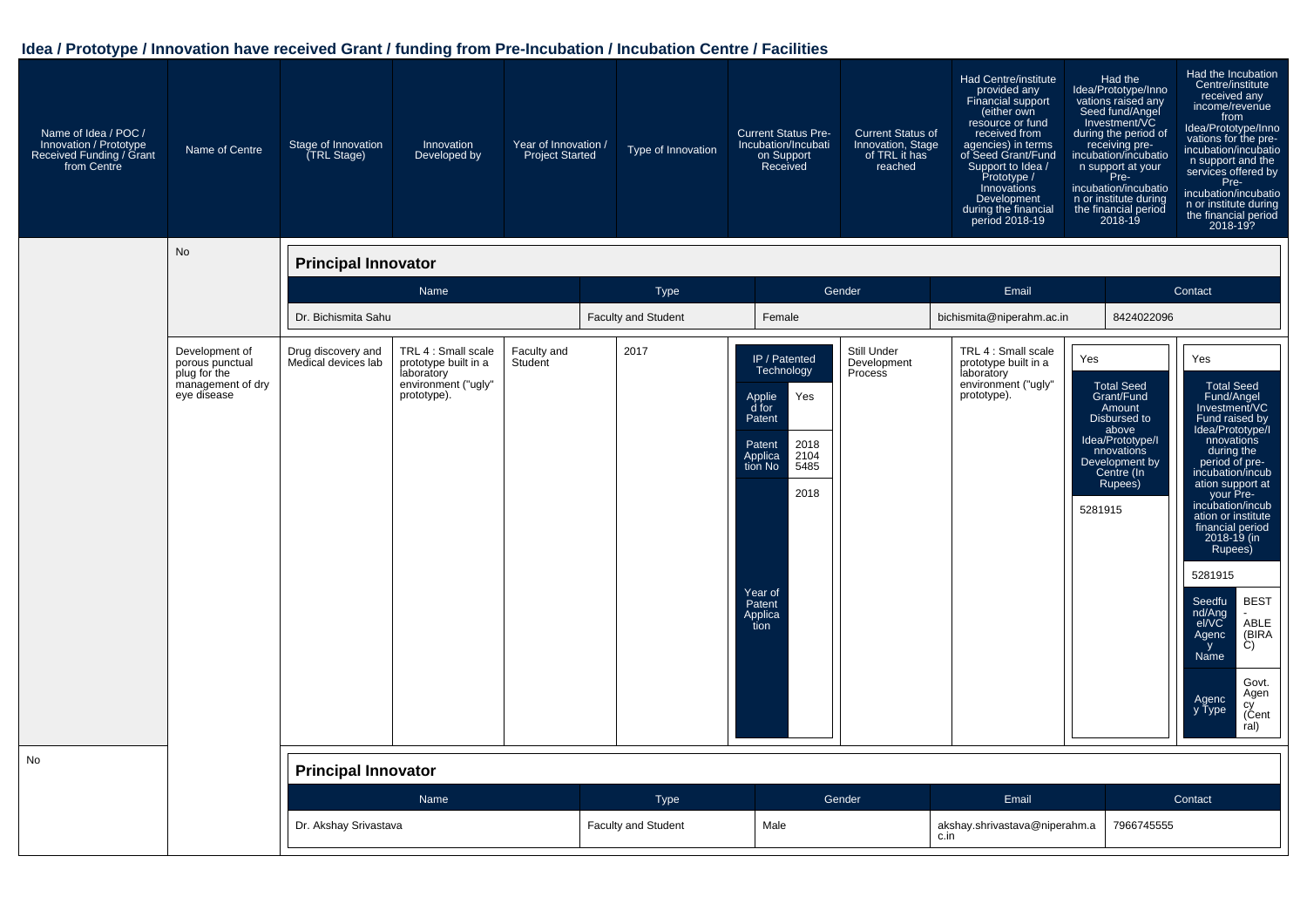| Name of Idea / POC /<br>Innovation / Prototype<br>Received Funding / Grant<br>from Centre | Name of Centre                                                                        | Stage of Innovation<br>TRL Stage)         | Innovation<br>Developed by                                                                      | Year of Innovation /<br><b>Project Started</b> | Type of Innovation                        | <b>Current Status Pre-</b><br>Incubation/Incubati<br>on Support<br>Received                                                                                             | <b>Current Status of</b><br>Innovation, Stage<br>of TRL it has<br>reached | Had Centre/institute<br>provided any<br>Financial support<br>(either own<br>resource or fund<br>received from<br>agencies) in terms<br>of Seed Grant/Fund<br>Support to Idea /<br>Prototype /<br>Innovations<br>Development<br>during the financial<br>period 2018-19 | Had the Incubation<br>Had the<br>Centre/institute<br>Idea/Prototype/Inno<br>received any<br>vations raised any<br>Seed fund/Angel<br>Investment/VC<br>income/revenue<br>from<br>Idea/Prototype/Inno<br>vations for the pre-<br>during the period of<br>receiving pre-<br>incubation/incubatio<br>incubation/incubatio<br>n support and the<br>services offered by<br>n support at your<br>Pre-<br>incubation/incubatio<br>Pre-<br>incubation/incubatio<br>n or institute during<br>n or institute during<br>the financial period<br>the financial period<br>$2018 - 19$<br>2018-19?                                  |
|-------------------------------------------------------------------------------------------|---------------------------------------------------------------------------------------|-------------------------------------------|-------------------------------------------------------------------------------------------------|------------------------------------------------|-------------------------------------------|-------------------------------------------------------------------------------------------------------------------------------------------------------------------------|---------------------------------------------------------------------------|-----------------------------------------------------------------------------------------------------------------------------------------------------------------------------------------------------------------------------------------------------------------------|----------------------------------------------------------------------------------------------------------------------------------------------------------------------------------------------------------------------------------------------------------------------------------------------------------------------------------------------------------------------------------------------------------------------------------------------------------------------------------------------------------------------------------------------------------------------------------------------------------------------|
|                                                                                           | <b>No</b>                                                                             | <b>Principal Innovator</b>                |                                                                                                 |                                                |                                           |                                                                                                                                                                         |                                                                           |                                                                                                                                                                                                                                                                       |                                                                                                                                                                                                                                                                                                                                                                                                                                                                                                                                                                                                                      |
|                                                                                           |                                                                                       |                                           | Name                                                                                            |                                                | <b>Type</b>                               |                                                                                                                                                                         | Gender                                                                    | Email                                                                                                                                                                                                                                                                 | Contact                                                                                                                                                                                                                                                                                                                                                                                                                                                                                                                                                                                                              |
|                                                                                           |                                                                                       | Dr. Bichismita Sahu                       |                                                                                                 |                                                | <b>Faculty and Student</b>                | Female                                                                                                                                                                  |                                                                           | bichismita@niperahm.ac.in                                                                                                                                                                                                                                             | 8424022096                                                                                                                                                                                                                                                                                                                                                                                                                                                                                                                                                                                                           |
|                                                                                           | Development of<br>porous punctual<br>plug for the<br>management of dry<br>eye disease | Drug discovery and<br>Medical devices lab | TRL 4 : Small scale<br>prototype built in a<br>laboratory<br>environment ("ugly"<br>prototype). | Faculty and<br>Student                         | 2017                                      | IP / Patented<br>Technology<br>Yes<br>Applie<br>d for<br>Patent<br>2018<br>Patent<br>2104<br>Applica<br>tion No<br>5485<br>2018<br>Year of<br>Patent<br>Applica<br>tion | Still Under<br>Development<br>Process                                     | TRL 4 : Small scale<br>Yes<br>prototype built in a<br>laboratory<br>environment ("ugly"<br>prototype).                                                                                                                                                                | Yes<br><b>Total Seed</b><br><b>Total Seed</b><br>Grant/Fund<br>Fund/Angel<br>Investment/VC<br>Amount<br>Disbursed to<br>Fund raised by<br>Idea/Prototype/<br>above<br>Idea/Prototype/I<br>nnovations<br>during the<br>period of pre-<br>incubation/incub<br>nnovations<br>Development by<br>Centre (In<br>Rupees)<br>ation support at<br>your Pre-<br>incubation/incub<br>5281915<br>ation or institute<br>financial period<br>2018-19 (in<br>Rupees)<br>5281915<br><b>BEST</b><br>Seedfu<br>nd/Ang<br>el/VC<br>ABLE<br>Agenc<br>(BIRA<br>Ċ)<br>y<br>Name<br>Govt.<br>Agen<br>Agenc<br>cy<br>(Cent<br>y Type<br>ral) |
| No                                                                                        |                                                                                       | <b>Principal Innovator</b>                |                                                                                                 |                                                |                                           |                                                                                                                                                                         |                                                                           |                                                                                                                                                                                                                                                                       |                                                                                                                                                                                                                                                                                                                                                                                                                                                                                                                                                                                                                      |
|                                                                                           |                                                                                       | Dr. Akshay Srivastava                     | Name                                                                                            |                                                | <b>Type</b><br><b>Faculty and Student</b> | Male                                                                                                                                                                    | Gender                                                                    | Email<br>akshay.shrivastava@niperahm.a<br>c.in                                                                                                                                                                                                                        | Contact<br>7966745555                                                                                                                                                                                                                                                                                                                                                                                                                                                                                                                                                                                                |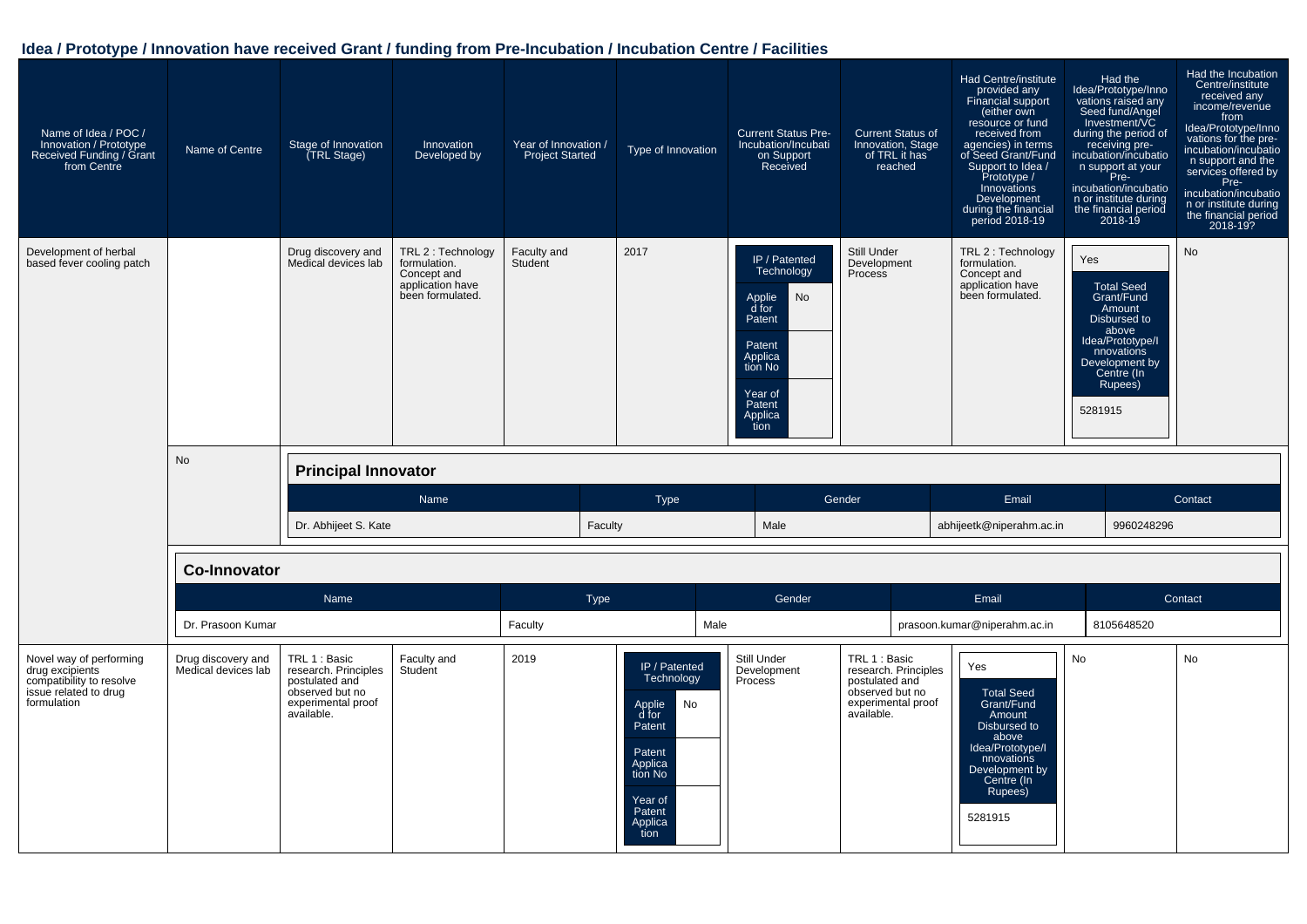| Name of Idea / POC /<br>Innovation / Prototype<br>Received Funding / Grant<br>from Centre | Name of Centre      | Stage of Innovation<br><b>TRL Stage)</b>  | Innovation<br>Developed by                                                                | Year of Innovation /<br><b>Project Started</b> | Type of Innovation | <b>Current Status Pre-</b><br>Incubation/Incubati<br>on Support<br>Received                                                            | <b>Current Status of</b><br>Innovation, Stage<br>of TRL it has<br>reached | Had Centre/institute<br>provided any<br>Financial support<br>(either own<br>resource or fund<br>received from<br>agencies) in terms<br>of Seed Grant/Fund<br>Support to Idea /<br>Prototype /<br>Innovations<br>Development<br>during the financial<br>period 2018-19 | Had the<br>Idea/Prototype/Inno<br>vations raised any<br>Seed fund/Angel<br>Investment/VC<br>during the period of<br>receiving pre-<br>incubation/incubatio<br>n support at your<br>Pre-<br>incubation/incubatio<br>n or institute during<br>the financial period<br>2018-19 | Had the Incubation<br>Centre/institute<br>received any<br>income/revenue<br>from<br>Idea/Prototype/Inno<br>vations for the pre-<br>incubation/incubatio<br>n support and the<br>services offered by<br>Pre-<br>incubation/incubatio<br>n or institute during<br>the financial period<br>2018-19? |
|-------------------------------------------------------------------------------------------|---------------------|-------------------------------------------|-------------------------------------------------------------------------------------------|------------------------------------------------|--------------------|----------------------------------------------------------------------------------------------------------------------------------------|---------------------------------------------------------------------------|-----------------------------------------------------------------------------------------------------------------------------------------------------------------------------------------------------------------------------------------------------------------------|-----------------------------------------------------------------------------------------------------------------------------------------------------------------------------------------------------------------------------------------------------------------------------|--------------------------------------------------------------------------------------------------------------------------------------------------------------------------------------------------------------------------------------------------------------------------------------------------|
| Development of herbal<br>based fever cooling patch                                        |                     | Drug discovery and<br>Medical devices lab | TRL 2 : Technology<br>formulation.<br>Concept and<br>application have<br>been formulated. | Faculty and<br>Student                         | 2017               | IP / Patented<br>Technology<br>No<br>Applie<br>d for<br>Patent<br>Patent<br>Applica<br>tion No<br>Year of<br>Patent<br>Applica<br>tion | Still Under<br>Development<br>Process                                     | TRL 2 : Technology<br>formulation.<br>Concept and<br>application have<br>been formulated.                                                                                                                                                                             | Yes<br><b>Total Seed</b><br>Grant/Fund<br>Amount<br>Disbursed to<br>above<br>Idea/Prototype/I<br>nnovations<br>Development by<br>Centre (In<br>Rupees)<br>5281915                                                                                                           | <b>No</b>                                                                                                                                                                                                                                                                                        |
|                                                                                           | No                  | <b>Principal Innovator</b>                |                                                                                           |                                                |                    |                                                                                                                                        |                                                                           |                                                                                                                                                                                                                                                                       |                                                                                                                                                                                                                                                                             |                                                                                                                                                                                                                                                                                                  |
|                                                                                           |                     |                                           |                                                                                           |                                                |                    |                                                                                                                                        |                                                                           |                                                                                                                                                                                                                                                                       |                                                                                                                                                                                                                                                                             |                                                                                                                                                                                                                                                                                                  |
|                                                                                           |                     | Dr. Abhijeet S. Kate                      | Name                                                                                      | Faculty                                        | <b>Type</b>        | Male                                                                                                                                   | Gender                                                                    | Email<br>abhijeetk@niperahm.ac.in                                                                                                                                                                                                                                     | 9960248296                                                                                                                                                                                                                                                                  | Contact                                                                                                                                                                                                                                                                                          |
|                                                                                           | <b>Co-Innovator</b> |                                           |                                                                                           |                                                |                    |                                                                                                                                        |                                                                           |                                                                                                                                                                                                                                                                       |                                                                                                                                                                                                                                                                             |                                                                                                                                                                                                                                                                                                  |
|                                                                                           |                     | Name                                      |                                                                                           | Type                                           |                    | Gender                                                                                                                                 |                                                                           | Email                                                                                                                                                                                                                                                                 |                                                                                                                                                                                                                                                                             | Contact                                                                                                                                                                                                                                                                                          |
|                                                                                           | Dr. Prasoon Kumar   |                                           |                                                                                           | Faculty                                        | Male               |                                                                                                                                        |                                                                           | prasoon.kumar@niperahm.ac.in                                                                                                                                                                                                                                          | 8105648520                                                                                                                                                                                                                                                                  |                                                                                                                                                                                                                                                                                                  |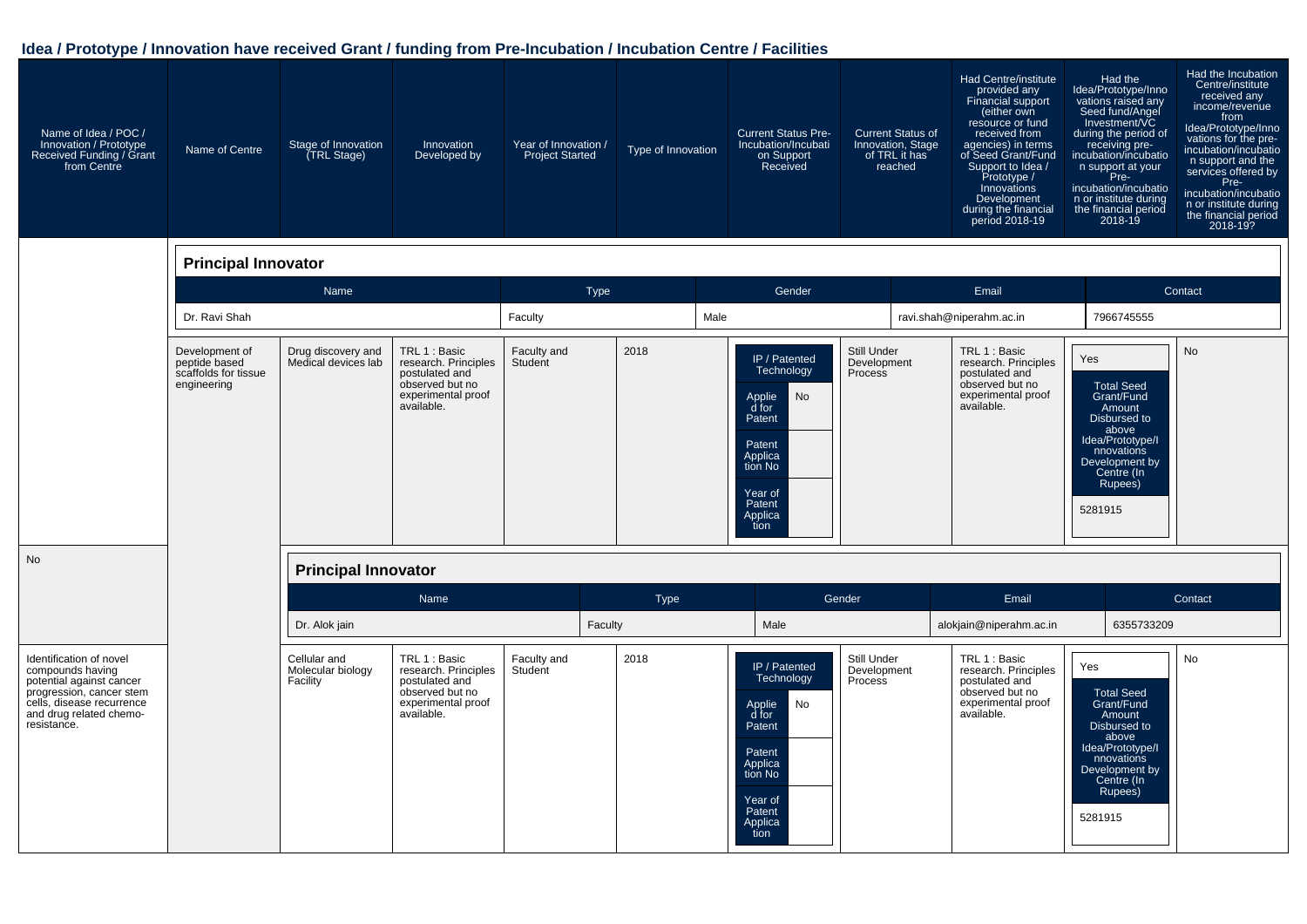| Name of Idea / POC /<br>Innovation / Prototype<br>Received Funding / Grant<br>from Centre                                                                                  | Name of Centre                                                         | Stage of Innovation<br>(TRL Stage)            | Innovation<br>Developed by                                                                                     | Year of Innovation /<br>Project Started | Type of Innovation | <b>Current Status Pre-</b><br>Incubation/Incubati<br>on Support<br>Received                                                                   | <b>Current Status of</b><br>Innovation, Stage<br>of TRL it has<br>reached | Had Centre/institute<br>provided any<br>Financial support<br>(either own<br>resource or fund<br>received from<br>agencies) in terms<br>of Seed Grant/Fund<br>Support to Idea /<br>Prototype /<br>Innovations<br>Development<br>during the financial<br>period 2018-19 | Had the<br>Idea/Prototype/Inno<br>vations raised any<br>Seed fund/Angel<br>Investment/VC<br>during the period of<br>receiving pre-<br>incubation/incubatio<br>n support at your<br>Pre-<br>incubation/incubatio<br>n or institute during<br>the financial period<br>2018-19 | Had the Incubation<br>Centre/institute<br>received any<br>income/revenue<br>from<br>Idea/Prototype/Inno<br>vations for the pre-<br>incubation/incubatio<br>n support and the<br>services offered by<br>Pre-<br>incubation/incubatio<br>n or institute during<br>the financial period<br>2018-19? |
|----------------------------------------------------------------------------------------------------------------------------------------------------------------------------|------------------------------------------------------------------------|-----------------------------------------------|----------------------------------------------------------------------------------------------------------------|-----------------------------------------|--------------------|-----------------------------------------------------------------------------------------------------------------------------------------------|---------------------------------------------------------------------------|-----------------------------------------------------------------------------------------------------------------------------------------------------------------------------------------------------------------------------------------------------------------------|-----------------------------------------------------------------------------------------------------------------------------------------------------------------------------------------------------------------------------------------------------------------------------|--------------------------------------------------------------------------------------------------------------------------------------------------------------------------------------------------------------------------------------------------------------------------------------------------|
|                                                                                                                                                                            | <b>Principal Innovator</b>                                             |                                               |                                                                                                                |                                         |                    |                                                                                                                                               |                                                                           |                                                                                                                                                                                                                                                                       |                                                                                                                                                                                                                                                                             |                                                                                                                                                                                                                                                                                                  |
|                                                                                                                                                                            |                                                                        | Name                                          |                                                                                                                |                                         | <b>Type</b>        | Gender                                                                                                                                        |                                                                           | Email                                                                                                                                                                                                                                                                 |                                                                                                                                                                                                                                                                             | Contact                                                                                                                                                                                                                                                                                          |
|                                                                                                                                                                            | Dr. Ravi Shah                                                          |                                               |                                                                                                                | Faculty                                 |                    | Male                                                                                                                                          |                                                                           | ravi.shah@niperahm.ac.in                                                                                                                                                                                                                                              | 7966745555                                                                                                                                                                                                                                                                  |                                                                                                                                                                                                                                                                                                  |
|                                                                                                                                                                            | Development of<br>peptide based<br>scaffolds for tissue<br>engineering | Drug discovery and<br>Medical devices lab     | TRL 1 : Basic<br>research. Principles<br>postulated and<br>observed but no<br>experimental proof<br>available. | Faculty and<br>Student                  | 2018               | IP / Patented<br>Technology<br>No<br>Applie<br>d for<br>Patent<br>Patent<br>Applica<br>tion No<br>Year of<br>Patent<br>Applica<br>tion        | Still Under<br>Development<br>Process                                     | TRL 1 : Basic<br>research. Principles<br>postulated and<br>observed but no<br>experimental proof<br>available.                                                                                                                                                        | Yes<br><b>Total Seed</b><br>Grant/Fund<br>Amount<br>Disbursed to<br>above<br>Idea/Prototype/I<br>nnovations<br>Development by<br>Centre (In<br>Rupees)<br>5281915                                                                                                           | <b>No</b>                                                                                                                                                                                                                                                                                        |
| No                                                                                                                                                                         |                                                                        | <b>Principal Innovator</b>                    |                                                                                                                |                                         |                    |                                                                                                                                               |                                                                           |                                                                                                                                                                                                                                                                       |                                                                                                                                                                                                                                                                             |                                                                                                                                                                                                                                                                                                  |
|                                                                                                                                                                            |                                                                        |                                               | <b>Name</b>                                                                                                    |                                         | Type               |                                                                                                                                               | Gender                                                                    | Email                                                                                                                                                                                                                                                                 |                                                                                                                                                                                                                                                                             | Contact                                                                                                                                                                                                                                                                                          |
|                                                                                                                                                                            |                                                                        | Dr. Alok jain                                 |                                                                                                                |                                         | Faculty            | Male                                                                                                                                          |                                                                           | alokjain@niperahm.ac.in                                                                                                                                                                                                                                               | 6355733209                                                                                                                                                                                                                                                                  |                                                                                                                                                                                                                                                                                                  |
| Identification of novel<br>compounds having<br>potential against cancer<br>progression, cancer stem<br>cells, disease recurrence<br>and drug related chemo-<br>resistance. |                                                                        | Cellular and<br>Molecular biology<br>Facility | TRL 1 : Basic<br>research. Principles<br>postulated and<br>observed but no<br>experimental proof<br>available. | Faculty and<br>Student                  | 2018               | IP / Patented<br><b>Technology</b><br>No<br>Applie<br>d for<br>Patent<br>Patent<br>Applica<br>tion No<br>Year of<br>Patent<br>Applica<br>tion | Still Under<br>Development<br>Process                                     | TRL 1 : Basic<br>research. Principles<br>postulated and<br>observed but no<br>experimental proof<br>available.                                                                                                                                                        | Yes<br><b>Total Seed</b><br>Grant/Fund<br>Amount<br>Disbursed to<br>above<br>Idea/Prototype/I<br>nnovations<br>Development by<br>Centre (In<br>Rupees)<br>5281915                                                                                                           | No                                                                                                                                                                                                                                                                                               |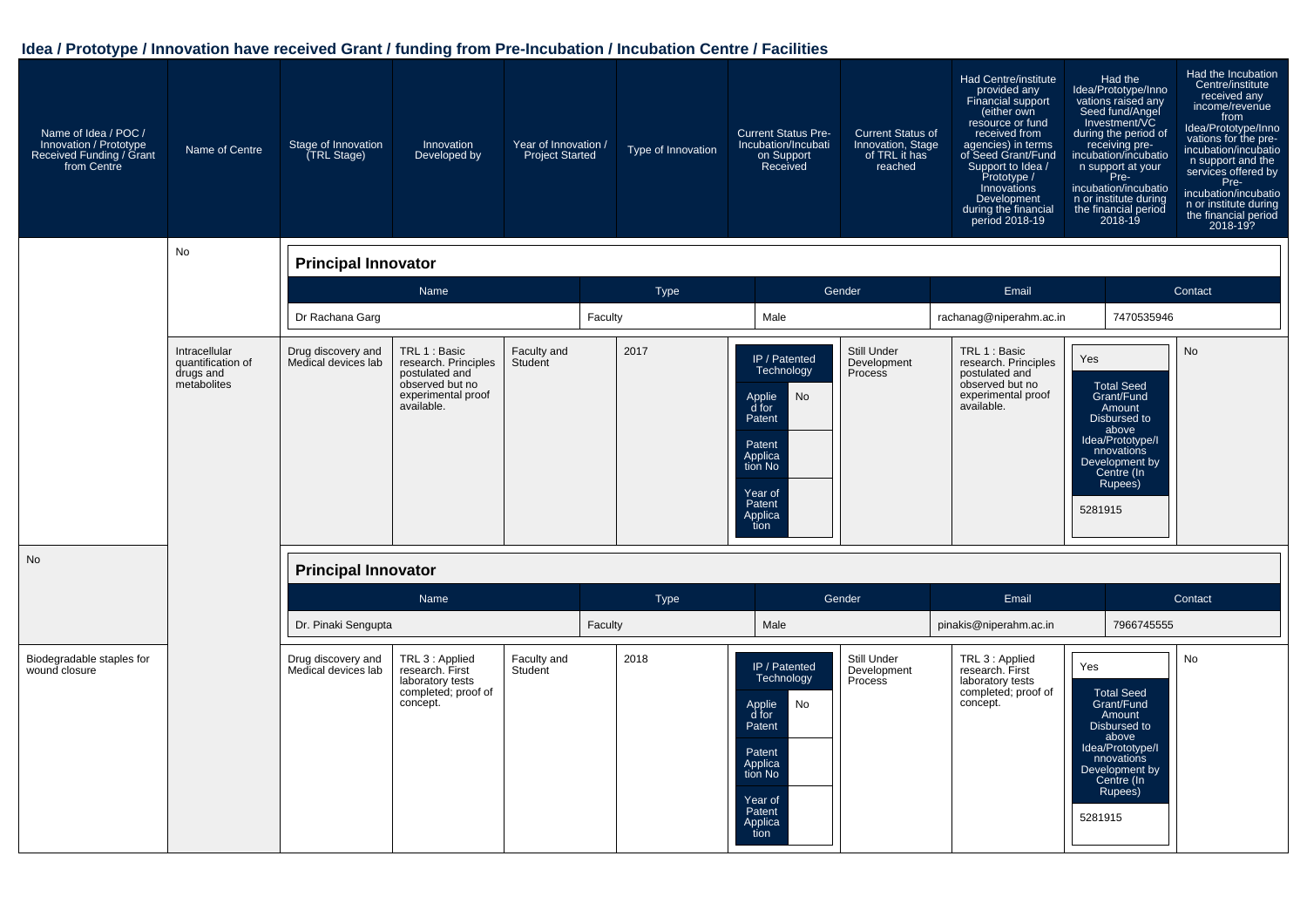| Name of Idea / POC /<br>Innovation / Prototype<br>Received Funding / Grant<br>from Centre | Name of Centre                                                 | Stage of Innovation<br>(TRL Stage)        | Innovation<br>Developed by                                                                                     | Year of Innovation /<br><b>Project Started</b> | Type of Innovation | <b>Current Status Pre-</b><br>Incubation/Incubati<br>on Support<br>Received                                                                         | <b>Current Status of</b><br>Innovation, Stage<br>of TRL it has<br>reached | Had Centre/institute<br>provided any<br>Financial support<br>(either own<br>resource or fund<br>received from<br>agencies) in terms<br>of Seed Grant/Fund<br>Support to Idea /<br>Prototype /<br>Innovations<br>Development<br>during the financial<br>period 2018-19 | Had the<br>Idea/Prototype/Inno<br>vations raised any<br>Seed fund/Angel<br>Investment/VC<br>during the period of<br>receiving pre-<br>incubation/incubatio<br>n support at your<br>Pre-<br>incubation/incubatio<br>n or institute during<br>the financial period<br>2018-19 | Had the Incubation<br>Centre/institute<br>received any<br>income/revenue<br>from<br>Idea/Prototype/Inno<br>vations for the pre-<br>incubation/incubatio<br>n support and the<br>services offered by<br>Pre-<br>incubation/incubatio<br>n or institute during<br>the financial period<br>2018-19? |
|-------------------------------------------------------------------------------------------|----------------------------------------------------------------|-------------------------------------------|----------------------------------------------------------------------------------------------------------------|------------------------------------------------|--------------------|-----------------------------------------------------------------------------------------------------------------------------------------------------|---------------------------------------------------------------------------|-----------------------------------------------------------------------------------------------------------------------------------------------------------------------------------------------------------------------------------------------------------------------|-----------------------------------------------------------------------------------------------------------------------------------------------------------------------------------------------------------------------------------------------------------------------------|--------------------------------------------------------------------------------------------------------------------------------------------------------------------------------------------------------------------------------------------------------------------------------------------------|
|                                                                                           | No                                                             | <b>Principal Innovator</b>                |                                                                                                                |                                                |                    |                                                                                                                                                     |                                                                           |                                                                                                                                                                                                                                                                       |                                                                                                                                                                                                                                                                             |                                                                                                                                                                                                                                                                                                  |
|                                                                                           |                                                                |                                           | Name                                                                                                           |                                                | Type               |                                                                                                                                                     | Gender                                                                    | Email                                                                                                                                                                                                                                                                 |                                                                                                                                                                                                                                                                             | Contact                                                                                                                                                                                                                                                                                          |
|                                                                                           |                                                                | Dr Rachana Garg                           |                                                                                                                | Faculty                                        |                    | Male                                                                                                                                                |                                                                           | rachanag@niperahm.ac.in                                                                                                                                                                                                                                               | 7470535946                                                                                                                                                                                                                                                                  |                                                                                                                                                                                                                                                                                                  |
|                                                                                           | Intracellular<br>quantification of<br>drugs and<br>metabolites | Drug discovery and<br>Medical devices lab | TRL 1 : Basic<br>research. Principles<br>postulated and<br>observed but no<br>experimental proof<br>available. | Faculty and<br>Student                         | 2017               | IP / Patented<br>Technology<br>No<br>Applie<br>d for<br>Patent<br>Patent<br>Applica<br>tion No<br>Year of<br>Patent<br>Applica<br>tion              | Still Under<br>Development<br>Process                                     | TRL 1 : Basic<br>research. Principles<br>postulated and<br>observed but no<br>experimental proof<br>available.                                                                                                                                                        | Yes<br><b>Total Seed</b><br>Grant/Fund<br>Amount<br>Disbursed to<br>above<br>Idea/Prototype/I<br>nnovations<br>Development by<br>Centre (In<br>Rupees)<br>5281915                                                                                                           | <b>No</b>                                                                                                                                                                                                                                                                                        |
| <b>No</b>                                                                                 |                                                                | <b>Principal Innovator</b>                |                                                                                                                |                                                |                    |                                                                                                                                                     |                                                                           |                                                                                                                                                                                                                                                                       |                                                                                                                                                                                                                                                                             |                                                                                                                                                                                                                                                                                                  |
|                                                                                           |                                                                |                                           | Name                                                                                                           |                                                | Type               |                                                                                                                                                     | Gender                                                                    | Email                                                                                                                                                                                                                                                                 |                                                                                                                                                                                                                                                                             | Contact                                                                                                                                                                                                                                                                                          |
|                                                                                           |                                                                | Dr. Pinaki Sengupta                       |                                                                                                                | Faculty                                        |                    | Male                                                                                                                                                |                                                                           | pinakis@niperahm.ac.in                                                                                                                                                                                                                                                | 7966745555                                                                                                                                                                                                                                                                  |                                                                                                                                                                                                                                                                                                  |
| Biodegradable staples for<br>wound closure                                                |                                                                | Drug discovery and<br>Medical devices lab | TRL 3 : Applied<br>research. First<br>laboratory tests<br>completed; proof of<br>concept.                      | Faculty and<br>Student                         | 2018               | IP / Patented<br>Technology<br>No<br>Applie<br>$\overline{d}$ for<br>Patent<br>Patent<br>Applica<br>tion No<br>Year of<br>Patent<br>Applica<br>tion | Still Under<br>Development<br>Process                                     | TRL 3 : Applied<br>research. First<br>laboratory tests<br>completed; proof of<br>concept.                                                                                                                                                                             | Yes<br><b>Total Seed</b><br>Grant/Fund<br>Amount<br>Disbursed to<br>above<br>Idea/Prototype/I<br>nnovations<br>Development by<br>Centre (In<br>Rupees)<br>5281915                                                                                                           | <b>No</b>                                                                                                                                                                                                                                                                                        |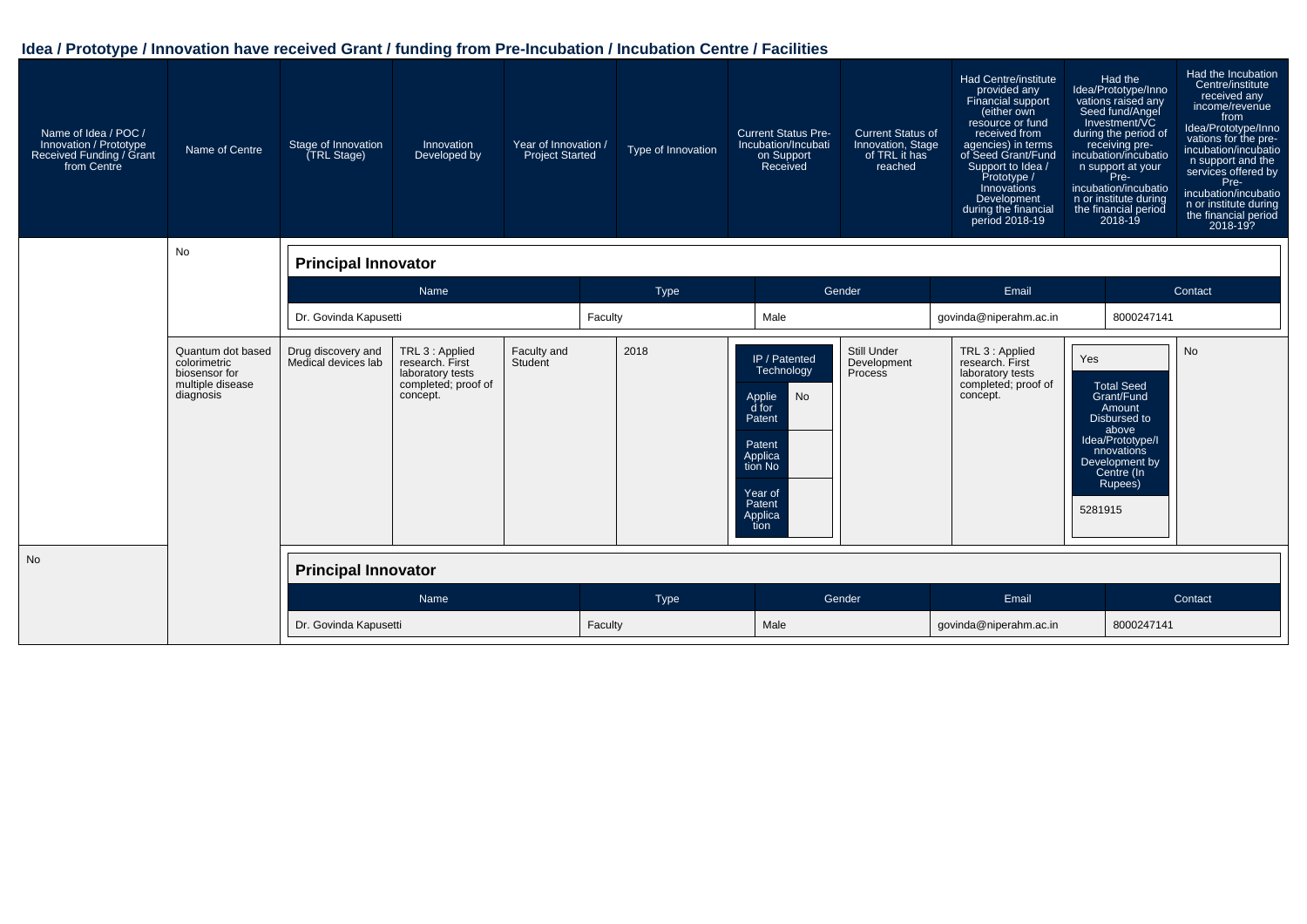| Name of Idea / POC /<br>Innovation / Prototype<br>Received Funding / Grant<br>from Centre | Name of Centre<br><b>No</b>                                                         | Stage of Innovation<br>TRL Stage)         | Innovation<br>Developed by                                                                | Year of Innovation /<br><b>Project Started</b> |         | Type of Innovation | <b>Current Status Pre-</b><br>Incubation/Incubati<br>on Support<br>Received                                                            | <b>Current Status of</b><br>Innovation, Stage<br>of TRL it has<br>reached | <b>Had Centre/institute</b><br>provided any<br>Financial support<br>(either own<br>resource or fund<br>received from<br>agencies) in terms<br>of Seed Grant/Fund<br>Support to Idea /<br>Prototype /<br>Innovations<br>Development<br>during the financial<br>period 2018-19 | Had the<br>Idea/Prototype/Inno<br>vations raised any<br>Seed fund/Angel<br>Investment/VC<br>during the period of<br>receiving pre-<br>incubation/incubatio<br>n support at your<br>Pre-<br>incubation/incubatio<br>n or institute during<br>the financial period<br>$2018 - 19$ | Had the Incubation<br>Centre/institute<br>received any<br>income/revenue<br>from<br>Idea/Prototype/Inno<br>vations for the pre-<br>incubation/incubatio<br>n support and the<br>services offered by<br>Pre-<br>incubation/incubatio<br>n or institute during<br>the financial period<br>2018-19? |  |
|-------------------------------------------------------------------------------------------|-------------------------------------------------------------------------------------|-------------------------------------------|-------------------------------------------------------------------------------------------|------------------------------------------------|---------|--------------------|----------------------------------------------------------------------------------------------------------------------------------------|---------------------------------------------------------------------------|------------------------------------------------------------------------------------------------------------------------------------------------------------------------------------------------------------------------------------------------------------------------------|---------------------------------------------------------------------------------------------------------------------------------------------------------------------------------------------------------------------------------------------------------------------------------|--------------------------------------------------------------------------------------------------------------------------------------------------------------------------------------------------------------------------------------------------------------------------------------------------|--|
|                                                                                           |                                                                                     | <b>Principal Innovator</b>                |                                                                                           |                                                |         |                    |                                                                                                                                        |                                                                           |                                                                                                                                                                                                                                                                              |                                                                                                                                                                                                                                                                                 |                                                                                                                                                                                                                                                                                                  |  |
|                                                                                           |                                                                                     | Name                                      |                                                                                           | Type                                           |         |                    | Gender                                                                                                                                 | Email                                                                     |                                                                                                                                                                                                                                                                              | Contact                                                                                                                                                                                                                                                                         |                                                                                                                                                                                                                                                                                                  |  |
|                                                                                           |                                                                                     | Dr. Govinda Kapusetti                     |                                                                                           |                                                | Faculty |                    | Male                                                                                                                                   |                                                                           | govinda@niperahm.ac.in                                                                                                                                                                                                                                                       | 8000247141                                                                                                                                                                                                                                                                      |                                                                                                                                                                                                                                                                                                  |  |
|                                                                                           | Quantum dot based<br>colorimetric<br>biosensor for<br>multiple disease<br>diagnosis | Drug discovery and<br>Medical devices lab | TRL 3 : Applied<br>research. First<br>laboratory tests<br>completed; proof of<br>concept. | Faculty and<br>Student                         |         | 2018               | IP / Patented<br>Technology<br>Applie<br>d for<br>No<br>Patent<br>Patent<br>Applica<br>tion No<br>Year of<br>Patent<br>Applica<br>tion | <b>Still Under</b><br>Development<br>Process                              | TRL 3 : Applied<br>research. First<br>laboratory tests<br>completed; proof of<br>concept.                                                                                                                                                                                    | Yes<br><b>Total Seed</b><br>Grant/Fund<br>Amount<br>Disbursed to<br>above<br>Idea/Prototype/I<br>nnovations<br>Development by<br>Centre (In<br>Rupees)<br>5281915                                                                                                               | <b>No</b>                                                                                                                                                                                                                                                                                        |  |
| <b>No</b>                                                                                 |                                                                                     | <b>Principal Innovator</b>                |                                                                                           |                                                |         |                    |                                                                                                                                        |                                                                           |                                                                                                                                                                                                                                                                              |                                                                                                                                                                                                                                                                                 |                                                                                                                                                                                                                                                                                                  |  |
|                                                                                           |                                                                                     |                                           | Name                                                                                      |                                                |         | Type               |                                                                                                                                        | Gender                                                                    | Email                                                                                                                                                                                                                                                                        |                                                                                                                                                                                                                                                                                 | Contact                                                                                                                                                                                                                                                                                          |  |
|                                                                                           |                                                                                     | Dr. Govinda Kapusetti                     |                                                                                           |                                                | Faculty |                    | Male                                                                                                                                   |                                                                           | govinda@niperahm.ac.in                                                                                                                                                                                                                                                       |                                                                                                                                                                                                                                                                                 | 8000247141                                                                                                                                                                                                                                                                                       |  |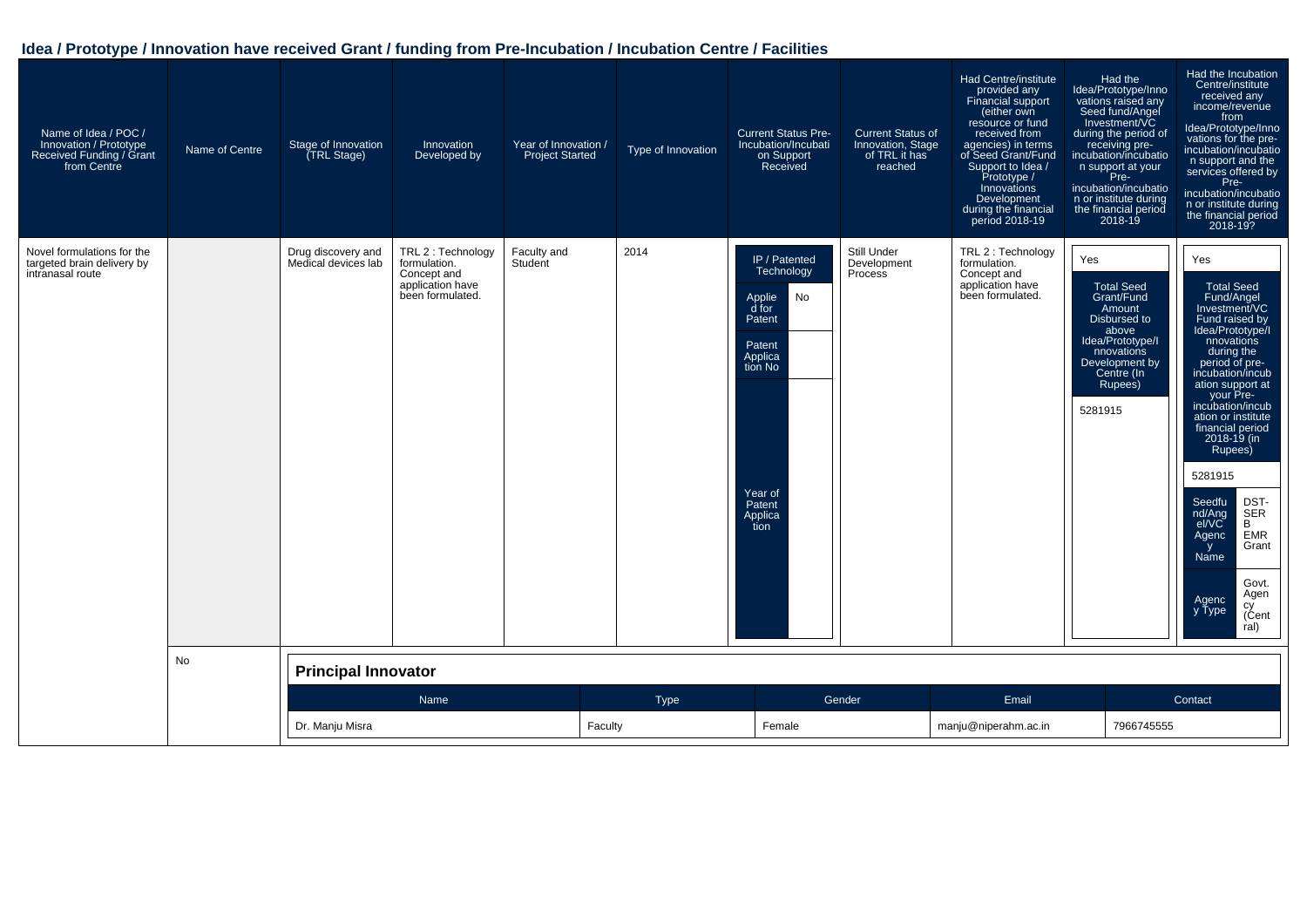| Name of Idea / POC /<br>Innovation / Prototype<br>Received Funding / Grant<br>from Centre | Name of Centre | Stage of Innovation<br>(TRL Stage)        | Innovation<br>Developed by                                                                | Year of Innovation /<br><b>Project Started</b> | Type of Innovation | <b>Current Status Pre-</b><br>Incubation/Incubati<br>on Support<br>Received                                                            | <b>Current Status of</b><br>Innovation, Stage<br>of TRL it has<br>reached | Had Centre/institute<br>provided any<br>Financial support<br>(either own<br>resource or fund<br>received from<br>agencies) in terms<br>of Seed Grant/Fund<br>Support to Idea /<br>Prototype /<br><b>Innovations</b><br>Development<br>during the financial<br>period 2018-19 | Had the<br>Idea/Prototype/Inno<br>vations raised any<br>Seed fund/Angel<br>Investment/VC<br>during the period of<br>receiving pre-<br>incubation/incubatio<br>n support at your<br>Pre-<br>incubation/incubatio<br>n or institute during<br>the financial period<br>2018-19 | Had the Incubation<br>Centre/institute<br>received any<br>income/revenue<br>from<br>Idea/Prototype/Inno<br>vations for the pre-<br>incubation/incubatio<br>n support and the<br>services offered by<br>Pre-<br>incubation/incubatio<br>n or institute during<br>the financial period<br>2018-19?                                                                                                                                                            |
|-------------------------------------------------------------------------------------------|----------------|-------------------------------------------|-------------------------------------------------------------------------------------------|------------------------------------------------|--------------------|----------------------------------------------------------------------------------------------------------------------------------------|---------------------------------------------------------------------------|------------------------------------------------------------------------------------------------------------------------------------------------------------------------------------------------------------------------------------------------------------------------------|-----------------------------------------------------------------------------------------------------------------------------------------------------------------------------------------------------------------------------------------------------------------------------|-------------------------------------------------------------------------------------------------------------------------------------------------------------------------------------------------------------------------------------------------------------------------------------------------------------------------------------------------------------------------------------------------------------------------------------------------------------|
| Novel formulations for the<br>targeted brain delivery by<br>intranasal route              |                | Drug discovery and<br>Medical devices lab | TRL 2 : Technology<br>formulation.<br>Concept and<br>application have<br>been formulated. | Faculty and<br>Student                         | 2014               | IP / Patented<br>Technology<br>No<br>Applie<br>d for<br>Patent<br>Patent<br>Applica<br>tion No<br>Year of<br>Patent<br>Applica<br>tion | Still Under<br>Development<br>Process                                     | TRL 2 : Technology<br>formulation.<br>Concept and<br>application have<br>been formulated.                                                                                                                                                                                    | Yes<br><b>Total Seed</b><br>Grant/Fund<br>Amount<br>Disbursed to<br>above<br>Idea/Prototype/I<br>nnovations<br>Development by<br>Centre (In<br>Rupees)<br>5281915                                                                                                           | Yes<br><b>Total Seed</b><br>Fund/Angel<br>Investment/VC<br>Fund raised by<br>Idea/Prototype/<br>nnovations<br>during the<br>period of pre-<br>incubation/incub<br>ation support at<br>your Pre-<br>incubation/incub<br>ation or institute<br>financial period<br>2018-19 (in<br>Rupees)<br>5281915<br>Seedfu<br>DST-<br>nd/Ang<br>SER<br>el/VC<br>B<br>Agenc<br><b>EMR</b><br>Grant<br>y<br>Name<br>Govt.<br>Agen<br>Agenc<br>cy<br>(Cent<br>y Type<br>ral) |
|                                                                                           | <b>No</b>      | <b>Principal Innovator</b>                |                                                                                           |                                                |                    |                                                                                                                                        |                                                                           |                                                                                                                                                                                                                                                                              |                                                                                                                                                                                                                                                                             |                                                                                                                                                                                                                                                                                                                                                                                                                                                             |
|                                                                                           |                |                                           | Name                                                                                      |                                                | Type               |                                                                                                                                        | Gender                                                                    | Email                                                                                                                                                                                                                                                                        |                                                                                                                                                                                                                                                                             | Contact                                                                                                                                                                                                                                                                                                                                                                                                                                                     |
|                                                                                           |                | Dr. Manju Misra                           |                                                                                           | Faculty                                        |                    | Female                                                                                                                                 |                                                                           | manju@niperahm.ac.in                                                                                                                                                                                                                                                         | 7966745555                                                                                                                                                                                                                                                                  |                                                                                                                                                                                                                                                                                                                                                                                                                                                             |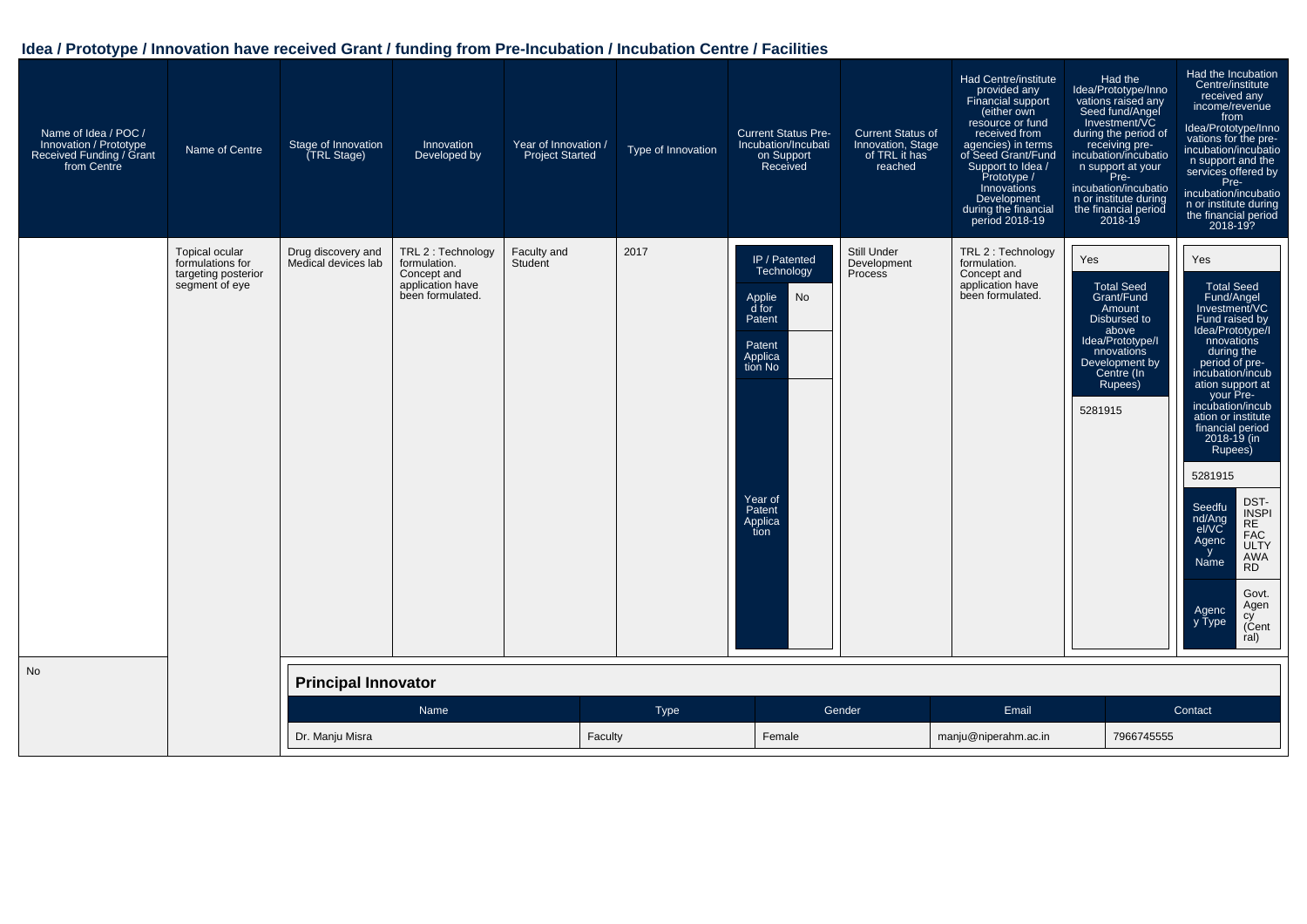| Name of Idea / POC /<br>Innovation / Prototype<br>Received Funding / Grant<br>from Centre | Name of Centre                                                              | Stage of Innovation<br><b>TRL Stage)</b>  | Innovation<br>Developed by                                                                | Year of Innovation /<br><b>Project Started</b> | Type of Innovation | <b>Current Status Pre-</b><br>Incubation/Incubati<br>on Support<br>Received                                                            | <b>Current Status of</b><br>Innovation, Stage<br>of TRL it has<br>reached | <b>Had Centre/institute</b><br>provided any<br>Financial support<br>(either own<br>resource or fund<br>received from<br>agencies) in terms<br>of Seed Grant/Fund<br>Support to Idea /<br>Prototype /<br>Innovations<br>Development<br>during the financial<br>period 2018-19 | Had the<br>Idea/Prototype/Inno<br>vations raised any<br>Seed fund/Angel<br>Investment/VC<br>during the period of<br>receiving pre-<br>incubation/incubatio<br>n support at your<br>Pre-<br>incubation/incubatio<br>n or institute during<br>the financial period<br>2018-19 | Had the Incubation<br>Centre/institute<br>received any<br>income/revenue<br>from<br>Idea/Prototype/Inno<br>vations for the pre-<br>incubation/incubatio<br>n support and the<br>services offered by<br>Pre-<br>incubation/incubatio<br>n or institute during<br>the financial period<br>2018-19?                                                                                                                                                                                   |
|-------------------------------------------------------------------------------------------|-----------------------------------------------------------------------------|-------------------------------------------|-------------------------------------------------------------------------------------------|------------------------------------------------|--------------------|----------------------------------------------------------------------------------------------------------------------------------------|---------------------------------------------------------------------------|------------------------------------------------------------------------------------------------------------------------------------------------------------------------------------------------------------------------------------------------------------------------------|-----------------------------------------------------------------------------------------------------------------------------------------------------------------------------------------------------------------------------------------------------------------------------|------------------------------------------------------------------------------------------------------------------------------------------------------------------------------------------------------------------------------------------------------------------------------------------------------------------------------------------------------------------------------------------------------------------------------------------------------------------------------------|
|                                                                                           | Topical ocular<br>formulations for<br>targeting posterior<br>segment of eye | Drug discovery and<br>Medical devices lab | TRL 2 : Technology<br>formulation.<br>Concept and<br>application have<br>been formulated. | Faculty and<br>Student                         | 2017               | IP / Patented<br>Technology<br>No<br>Applie<br>d for<br>Patent<br>Patent<br>Applica<br>tion No<br>Year of<br>Patent<br>Applica<br>tíon | Still Under<br>Development<br>Process                                     | TRL 2 : Technology<br>formulation.<br>Concept and<br>application have<br>been formulated.                                                                                                                                                                                    | Yes<br>Total Seed<br>Grant/Fund<br>Amount<br>Disbursed to<br>above<br>Idea/Prototype/I<br>nnovations<br>Development by<br>Centre (In<br>Rupees)<br>5281915                                                                                                                  | Yes<br>Total Seed<br>Fund/Angel<br>Investment/VC<br>Fund raised by<br>Idea/Prototype/I<br>nnovations<br>during the<br>period of pre-<br>incubation/incub<br>ation support at<br>your Pre-<br>incubation/incub<br>ation or institute<br>financial period<br>2018-19 (in<br>Rupees)<br>5281915<br>DST-<br>Seedfu<br>INSPI<br>RE<br>nd/Ang<br>el/VC<br><b>FAC</b><br>Agenc<br><b>ULTY</b><br>y<br>Name<br>AWA<br><b>RD</b><br>Govt.<br>Agen<br>Agenc<br>y Type<br>cy<br>(Cent<br>ral) |
| No                                                                                        |                                                                             | <b>Principal Innovator</b>                |                                                                                           |                                                |                    |                                                                                                                                        |                                                                           |                                                                                                                                                                                                                                                                              |                                                                                                                                                                                                                                                                             |                                                                                                                                                                                                                                                                                                                                                                                                                                                                                    |
|                                                                                           |                                                                             |                                           | Name                                                                                      |                                                | Type               |                                                                                                                                        | Gender                                                                    | Email                                                                                                                                                                                                                                                                        |                                                                                                                                                                                                                                                                             | Contact                                                                                                                                                                                                                                                                                                                                                                                                                                                                            |
|                                                                                           |                                                                             | Dr. Manju Misra                           |                                                                                           | Faculty                                        |                    | Female                                                                                                                                 |                                                                           | manju@niperahm.ac.in                                                                                                                                                                                                                                                         | 7966745555                                                                                                                                                                                                                                                                  |                                                                                                                                                                                                                                                                                                                                                                                                                                                                                    |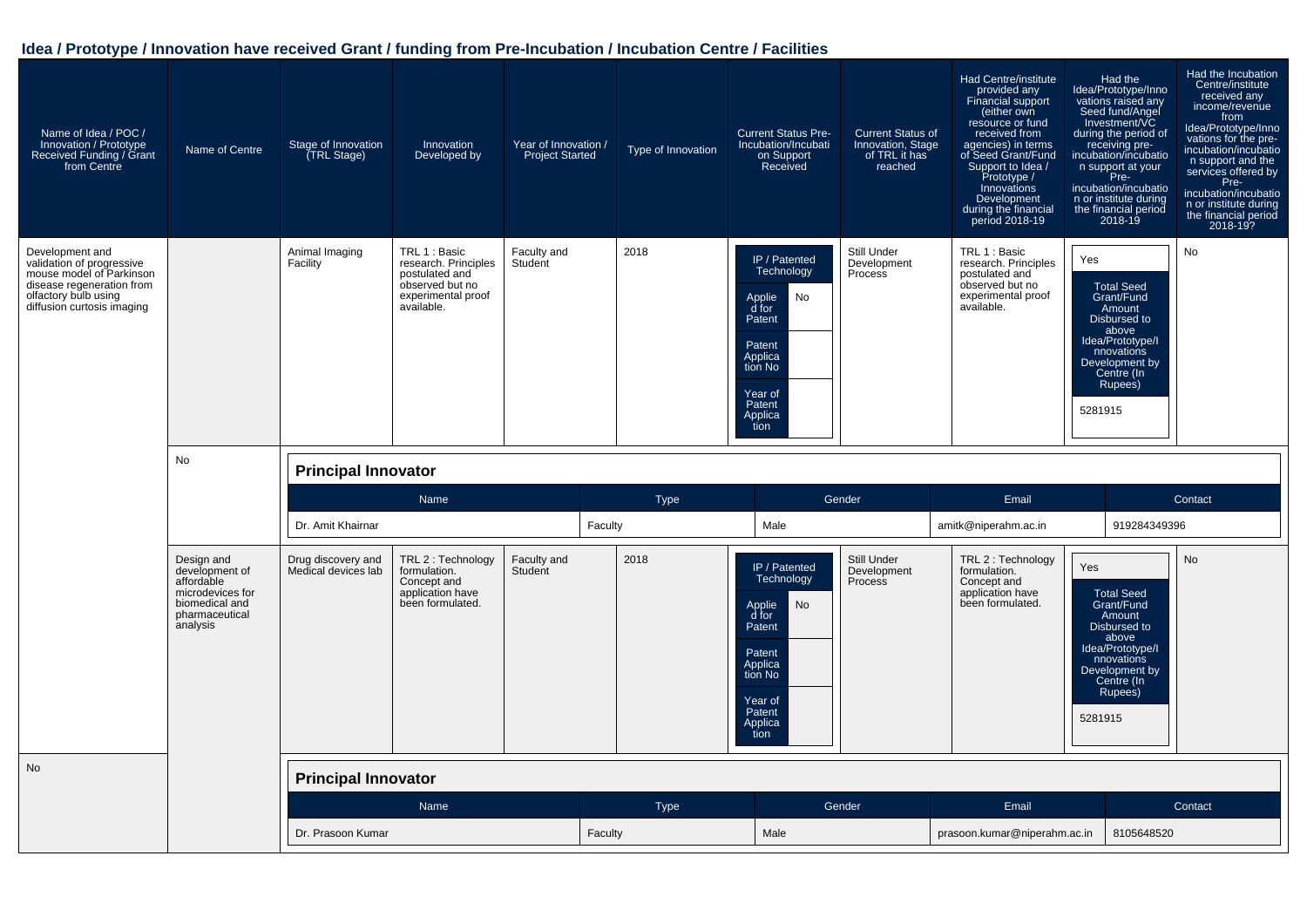| Name of Idea / POC /<br>Innovation / Prototype<br>Received Funding / Grant<br>from Centre                                                                   | Name of Centre                                                                                                 | Stage of Innovation<br><b>TRL Stage)</b>  | Innovation<br>Developed by                                                                                     | Year of Innovation /<br><b>Project Started</b> | Type of Innovation | <b>Current Status Pre-</b><br>Incubation/Incubati<br>on Support<br>Received                                                            | <b>Current Status of</b><br>Innovation, Stage<br>of TRL it has<br>reached | Had Centre/institute<br>provided any<br>Financial support<br>(either own<br>resource or fund<br>received from<br>agencies) in terms<br>of Seed Grant/Fund<br>Support to Idea /<br>Prototype /<br>Innovations<br>Development<br>during the financial<br>period 2018-19 | Had the<br>Idea/Prototype/Inno<br>vations raised any<br>Seed fund/Angel<br>Investment/VC<br>during the period of<br>receiving pre-<br>incubation/incubatio<br>n support at your<br>Pre-<br>incubation/incubatio<br>n or institute during<br>the financial period<br>2018-19 | Had the Incubation<br>Centre/institute<br>received any<br>income/revenue<br>from<br>Idea/Prototype/Inno<br>vations for the pre-<br>incubation/incubatio<br>n support and the<br>services offered by<br>Pre-<br>incubation/incubatio<br>n or institute during<br>the financial period<br>2018-19? |
|-------------------------------------------------------------------------------------------------------------------------------------------------------------|----------------------------------------------------------------------------------------------------------------|-------------------------------------------|----------------------------------------------------------------------------------------------------------------|------------------------------------------------|--------------------|----------------------------------------------------------------------------------------------------------------------------------------|---------------------------------------------------------------------------|-----------------------------------------------------------------------------------------------------------------------------------------------------------------------------------------------------------------------------------------------------------------------|-----------------------------------------------------------------------------------------------------------------------------------------------------------------------------------------------------------------------------------------------------------------------------|--------------------------------------------------------------------------------------------------------------------------------------------------------------------------------------------------------------------------------------------------------------------------------------------------|
| Development and<br>validation of progressive<br>mouse model of Parkinson<br>disease regeneration from<br>olfactory bulb using<br>diffusion curtosis imaging |                                                                                                                | Animal Imaging<br>Facility                | TRL 1 : Basic<br>research. Principles<br>postulated and<br>observed but no<br>experimental proof<br>available. | Faculty and<br>Student                         | 2018               | IP / Patented<br>Technology<br>No<br>Applie<br>d for<br>Patent<br>Patent<br>Applica<br>tion No<br>Year of<br>Patent<br>Applica<br>tion | Still Under<br>Development<br>Process                                     | TRL 1 : Basic<br>research. Principles<br>postulated and<br>observed but no<br>experimental proof<br>available.                                                                                                                                                        | Yes<br><b>Total Seed</b><br>Grant/Fund<br>Amount<br>Disbursed to<br>above<br>Idea/Prototype/I<br>nnovations<br>Development by<br>Centre (In<br>Rupees)<br>5281915                                                                                                           | No                                                                                                                                                                                                                                                                                               |
|                                                                                                                                                             | No                                                                                                             | <b>Principal Innovator</b>                |                                                                                                                |                                                |                    |                                                                                                                                        |                                                                           |                                                                                                                                                                                                                                                                       |                                                                                                                                                                                                                                                                             |                                                                                                                                                                                                                                                                                                  |
|                                                                                                                                                             |                                                                                                                |                                           | Name                                                                                                           |                                                | <b>Type</b>        |                                                                                                                                        | Gender                                                                    | Email                                                                                                                                                                                                                                                                 |                                                                                                                                                                                                                                                                             | Contact                                                                                                                                                                                                                                                                                          |
|                                                                                                                                                             |                                                                                                                | Dr. Amit Khairnar                         |                                                                                                                | Faculty                                        |                    | Male                                                                                                                                   |                                                                           | amitk@niperahm.ac.in                                                                                                                                                                                                                                                  | 919284349396                                                                                                                                                                                                                                                                |                                                                                                                                                                                                                                                                                                  |
|                                                                                                                                                             | Design and<br>development of<br>affordable<br>microdevices for<br>biomedical and<br>pharmaceutical<br>analysis | Drug discovery and<br>Medical devices lab | TRL 2 : Technology<br>formulation.<br>Concept and<br>application have<br>been formulated.                      | Faculty and<br>Student                         | 2018               | IP / Patented<br>Technology<br>No<br>Applie<br>d for<br>Patent                                                                         | Still Under<br>Development<br><b>Process</b>                              | TRL 2 : Technology<br>formulation.<br>Concept and<br>application have<br>been formulated.                                                                                                                                                                             | Yes<br><b>Total Seed</b><br>Grant/Fund<br>Amount<br>Disbursed to<br>above<br>Idea/Prototype/I                                                                                                                                                                               | No                                                                                                                                                                                                                                                                                               |
|                                                                                                                                                             |                                                                                                                |                                           |                                                                                                                |                                                |                    | Patent<br>Applica<br>tion No<br>Year of<br>Patent<br>Applica<br>tion                                                                   |                                                                           |                                                                                                                                                                                                                                                                       | nnovations<br>Development by<br>Centre (In<br>Rupees)<br>5281915                                                                                                                                                                                                            |                                                                                                                                                                                                                                                                                                  |
| <b>No</b>                                                                                                                                                   |                                                                                                                | <b>Principal Innovator</b>                |                                                                                                                |                                                |                    |                                                                                                                                        |                                                                           |                                                                                                                                                                                                                                                                       |                                                                                                                                                                                                                                                                             |                                                                                                                                                                                                                                                                                                  |
|                                                                                                                                                             |                                                                                                                |                                           | Name                                                                                                           |                                                | Type               |                                                                                                                                        | Gender                                                                    | Email                                                                                                                                                                                                                                                                 |                                                                                                                                                                                                                                                                             | Contact                                                                                                                                                                                                                                                                                          |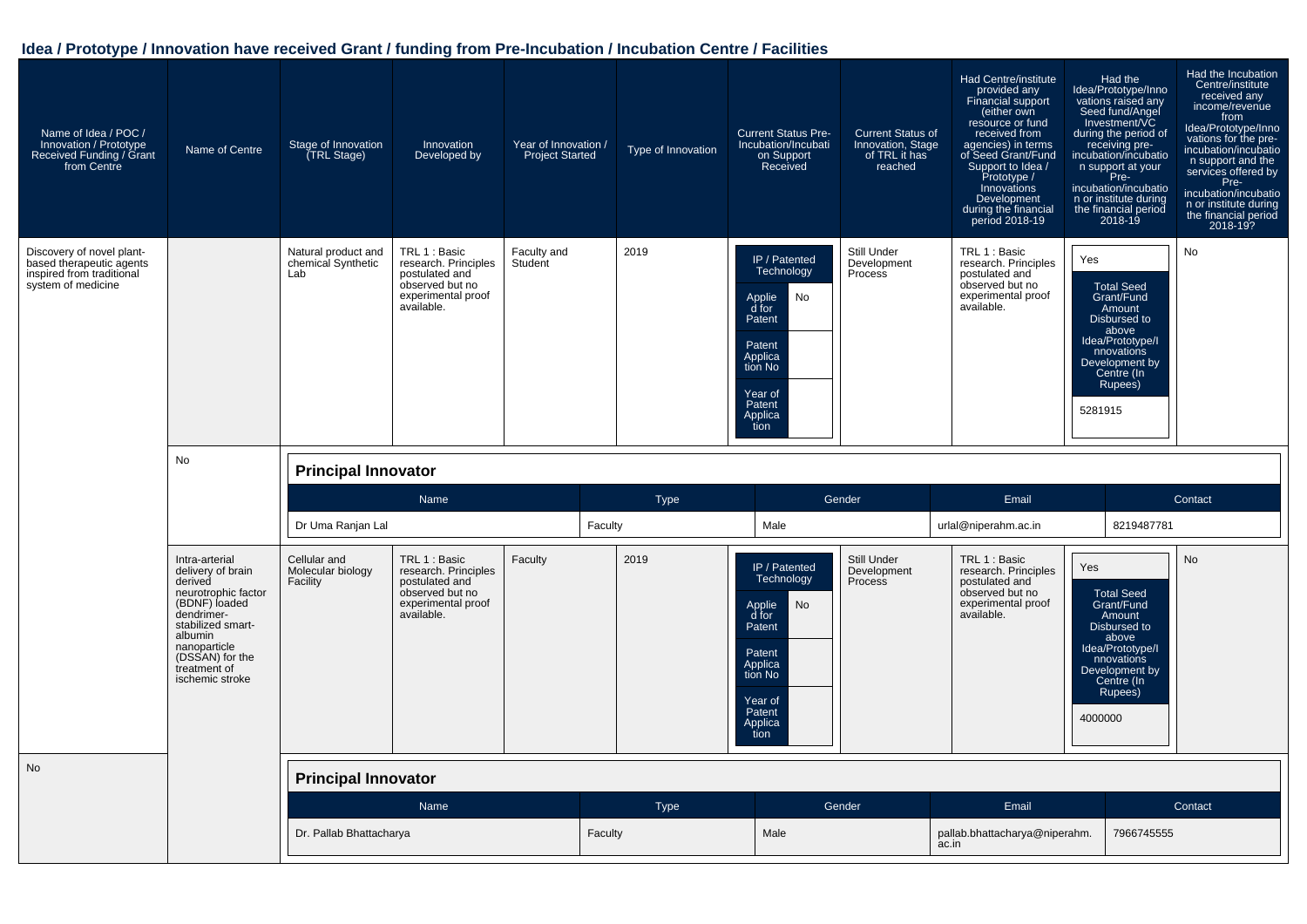| Name of Idea / POC /<br>Innovation / Prototype<br>Received Funding / Grant<br>from Centre                | Name of Centre                                                                                                                                                                                             | Stage of Innovation<br>(TRL Stage)               | Innovation<br>Developed by                                                                                     | Year of Innovation /<br><b>Project Started</b> |         | Type of Innovation | <b>Current Status Pre-</b><br>Incubation/Incubati<br>on Support<br>Received                                                            | <b>Current Status of</b><br>Innovation, Stage<br>of TRL it has<br>reached | Had Centre/institute<br>provided any<br>Financial support<br>(either own<br>resource or fund<br>received from<br>agencies) in terms<br>of Seed Grant/Fund<br>Support to Idea /<br>Prototype /<br>Innovations<br>Development<br>during the financial<br>period 2018-19 | Had the<br>Idea/Prototype/Inno<br>vations raised any<br>Seed fund/Angel<br>Investment/VC<br>during the period of<br>receiving pre-<br>incubation/incubatio<br>n support at your<br>Pre-<br>incubation/incubatio<br>n or institute during<br>the financial period<br>$2018 - 19$ | Had the Incubation<br>Centre/institute<br>received any<br>income/revenue<br>from<br>Idea/Prototype/Inno<br>vations for the pre-<br>incubation/incubatio<br>n support and the<br>services offered by<br>Pre-<br>incubation/incubatio<br>n or institute during<br>the financial period<br>2018-19? |
|----------------------------------------------------------------------------------------------------------|------------------------------------------------------------------------------------------------------------------------------------------------------------------------------------------------------------|--------------------------------------------------|----------------------------------------------------------------------------------------------------------------|------------------------------------------------|---------|--------------------|----------------------------------------------------------------------------------------------------------------------------------------|---------------------------------------------------------------------------|-----------------------------------------------------------------------------------------------------------------------------------------------------------------------------------------------------------------------------------------------------------------------|---------------------------------------------------------------------------------------------------------------------------------------------------------------------------------------------------------------------------------------------------------------------------------|--------------------------------------------------------------------------------------------------------------------------------------------------------------------------------------------------------------------------------------------------------------------------------------------------|
| Discovery of novel plant-<br>based therapeutic agents<br>inspired from traditional<br>system of medicine |                                                                                                                                                                                                            | Natural product and<br>chemical Synthetic<br>Lab | TRL 1 : Basic<br>research. Principles<br>postulated and<br>observed but no<br>experimental proof<br>available. | Faculty and<br>Student                         |         | 2019               | IP / Patented<br>Technology<br>No<br>Applie<br>d for<br>Patent<br>Patent<br>Applica<br>tion No<br>Year of<br>Patent<br>Applica<br>tion | Still Under<br>Development<br>Process                                     | TRL 1 : Basic<br>research. Principles<br>postulated and<br>observed but no<br>experimental proof<br>available.                                                                                                                                                        | Yes<br><b>Total Seed</b><br>Grant/Fund<br>Amount<br>Disbursed to<br>above<br>Idea/Prototype/I<br>nnovations<br>Development by<br>Centre (In<br>Rupees)<br>5281915                                                                                                               | No                                                                                                                                                                                                                                                                                               |
|                                                                                                          | No                                                                                                                                                                                                         | <b>Principal Innovator</b>                       |                                                                                                                |                                                |         |                    |                                                                                                                                        |                                                                           |                                                                                                                                                                                                                                                                       |                                                                                                                                                                                                                                                                                 |                                                                                                                                                                                                                                                                                                  |
|                                                                                                          |                                                                                                                                                                                                            |                                                  | Name                                                                                                           |                                                |         | <b>Type</b>        |                                                                                                                                        | Gender                                                                    | Email                                                                                                                                                                                                                                                                 |                                                                                                                                                                                                                                                                                 | Contact                                                                                                                                                                                                                                                                                          |
|                                                                                                          |                                                                                                                                                                                                            | Dr Uma Ranjan Lal                                |                                                                                                                |                                                | Faculty |                    | Male                                                                                                                                   |                                                                           | urlal@niperahm.ac.in                                                                                                                                                                                                                                                  | 8219487781                                                                                                                                                                                                                                                                      |                                                                                                                                                                                                                                                                                                  |
|                                                                                                          | Intra-arterial<br>delivery of brain<br>derived<br>neurotrophic factor<br>(BDNF) loaded<br>dendrimer-<br>stabilized smart-<br>albumin<br>nanoparticle<br>(DSSAN) for the<br>treatment of<br>ischemic stroke | Cellular and<br>Molecular biology<br>Facility    | TRL 1 : Basic<br>research. Principles<br>postulated and<br>observed but no<br>experimental proof<br>available. | Faculty                                        |         | 2019               | IP / Patented<br>Technology<br>No<br>Applie<br>d for<br>Patent<br>Patent<br>Applica<br>tion No<br>Year of<br>Patent<br>Applica<br>tion | Still Under<br>Development<br>Process                                     | TRL 1 : Basic<br>research. Principles<br>postulated and<br>observed but no<br>experimental proof<br>available.                                                                                                                                                        | Yes<br><b>Total Seed</b><br>Grant/Fund<br>Amount<br>Disbursed to<br>above<br>Idea/Prototype/I<br>nnovations<br>Development by<br>Centre (In<br>Rupees)<br>4000000                                                                                                               | <b>No</b>                                                                                                                                                                                                                                                                                        |
| No                                                                                                       |                                                                                                                                                                                                            | <b>Principal Innovator</b>                       |                                                                                                                |                                                |         |                    |                                                                                                                                        |                                                                           |                                                                                                                                                                                                                                                                       |                                                                                                                                                                                                                                                                                 |                                                                                                                                                                                                                                                                                                  |
|                                                                                                          |                                                                                                                                                                                                            |                                                  | Name                                                                                                           |                                                |         | <b>Type</b>        |                                                                                                                                        | Gender                                                                    | Email                                                                                                                                                                                                                                                                 |                                                                                                                                                                                                                                                                                 | Contact                                                                                                                                                                                                                                                                                          |
|                                                                                                          |                                                                                                                                                                                                            | Dr. Pallab Bhattacharya                          |                                                                                                                |                                                | Faculty |                    | Male                                                                                                                                   |                                                                           | pallab.bhattacharya@niperahm.<br>ac.in                                                                                                                                                                                                                                | 7966745555                                                                                                                                                                                                                                                                      |                                                                                                                                                                                                                                                                                                  |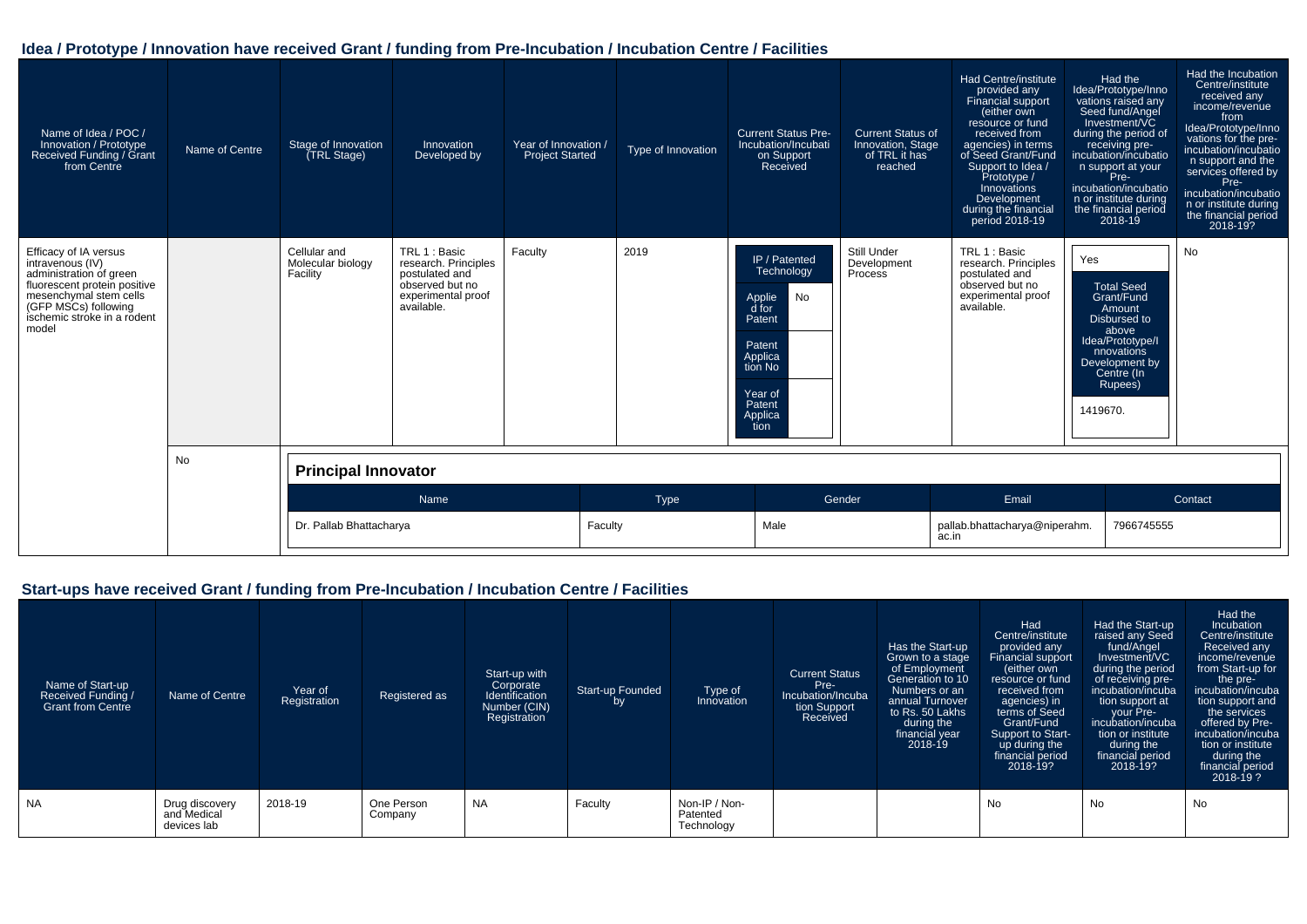| Name of Idea / POC /<br>Innovation / Prototype<br>Received Funding / Grant<br>from Centre                                                                                                      | Name of Centre | Stage of Innovation<br>(TRL Stage)            | Innovation<br>Developed by                                                                                     | Year of Innovation /<br><b>Project Started</b> | Type of Innovation | <b>Current Status Pre-</b><br>Incubation/Incubati<br>on Support<br>Received                                                            | <b>Current Status of</b><br>Innovation, Stage<br>of TRL it has<br>reached | Had Centre/institute<br>provided any<br>Financial support<br>(either own<br>resource or fund<br>received from<br>agencies) in terms<br>of Seed Grant/Fund<br>Support to Idea /<br>Prototype /<br>Innovations<br>Development<br>during the financial<br>period 2018-19 | Had the<br>Idea/Prototype/Inno<br>vations raised any<br>Seed fund/Angel<br>Investment/VC<br>during the period of<br>receiving pre-<br>incubation/incubatio<br>n support at your<br>Pre-<br>incubation/incubatio<br>n or institute during<br>the financial period<br>$2018 - 19$ | Had the Incubation<br>Centre/institute<br>received any<br>income/revenue<br>from<br>Idea/Prototype/Inno<br>vations for the pre-<br>incubation/incubatio<br>n support and the<br>services offered by<br>Pre-<br>incubation/incubatio<br>n or institute during<br>the financial period<br>2018-19? |
|------------------------------------------------------------------------------------------------------------------------------------------------------------------------------------------------|----------------|-----------------------------------------------|----------------------------------------------------------------------------------------------------------------|------------------------------------------------|--------------------|----------------------------------------------------------------------------------------------------------------------------------------|---------------------------------------------------------------------------|-----------------------------------------------------------------------------------------------------------------------------------------------------------------------------------------------------------------------------------------------------------------------|---------------------------------------------------------------------------------------------------------------------------------------------------------------------------------------------------------------------------------------------------------------------------------|--------------------------------------------------------------------------------------------------------------------------------------------------------------------------------------------------------------------------------------------------------------------------------------------------|
| Efficacy of IA versus<br>intravenous (IV)<br>administration of green<br>fluorescent protein positive<br>mesenchymal stem cells<br>(GFP MSCs) following<br>ischemic stroke in a rodent<br>model |                | Cellular and<br>Molecular biology<br>Facility | TRL 1 : Basic<br>research. Principles<br>postulated and<br>observed but no<br>experimental proof<br>available. | Faculty                                        | 2019               | IP / Patented<br>Technology<br>No<br>Applie<br>d for<br>Patent<br>Patent<br>Applica<br>tion No<br>Year of<br>Patent<br>Applica<br>tion | Still Under<br>Development<br><b>Process</b>                              | TRL 1 : Basic<br>research. Principles<br>postulated and<br>observed but no<br>experimental proof<br>available.                                                                                                                                                        | Yes<br><b>Total Seed</b><br>Grant/Fund<br>Amount<br>Disbursed to<br>above<br>Idea/Prototype/I<br>nnovations<br>Development by<br>Centre (In<br>Rupees)<br>1419670.                                                                                                              | No                                                                                                                                                                                                                                                                                               |
|                                                                                                                                                                                                | No             | <b>Principal Innovator</b>                    |                                                                                                                |                                                |                    |                                                                                                                                        |                                                                           |                                                                                                                                                                                                                                                                       |                                                                                                                                                                                                                                                                                 |                                                                                                                                                                                                                                                                                                  |
|                                                                                                                                                                                                |                |                                               | Name                                                                                                           |                                                | <b>Type</b>        |                                                                                                                                        | Gender                                                                    | Email                                                                                                                                                                                                                                                                 |                                                                                                                                                                                                                                                                                 | Contact                                                                                                                                                                                                                                                                                          |
|                                                                                                                                                                                                |                | Dr. Pallab Bhattacharya                       |                                                                                                                |                                                | Faculty            | Male                                                                                                                                   |                                                                           | pallab.bhattacharya@niperahm.<br>ac.in                                                                                                                                                                                                                                | 7966745555                                                                                                                                                                                                                                                                      |                                                                                                                                                                                                                                                                                                  |

# **Start-ups have received Grant / funding from Pre-Incubation / Incubation Centre / Facilities**

| Name of Start-up<br>Received Funding /<br><b>Grant from Centre</b> | Name of Centre                               | Year of<br>Registration | Registered as         | Start-up with<br>Corporate<br>Identification<br>Number (CIN)<br>Registration | <b>Start-up Founded</b><br>by | Type of<br>Innovation                   | <b>Current Status</b><br>Pre-<br>Incubation/Incuba<br>tion Support<br>Received | Has the Start-up<br>Grown to a stage<br>of Employment<br>Generation to 10<br>Numbers or an<br>annual Turnover<br>to Rs. 50 Lakhs<br>during the<br>financial year<br>$2018 - 19$ | Had<br>Centre/institute<br>provided any<br>Financial support<br>(either own<br>resource or fund<br>received from<br>agencies) in<br>terms of Seed<br>Grant/Fund<br>Support to Start-<br>up during the<br>financial period<br>2018-19? | Had the Start-up<br>raised any Seed<br>fund/Angel<br>Investment/VC<br>during the period<br>of receiving pre-<br>incubation/incuba<br>tion support at<br>your Pre-<br>incubation/incuba<br>tion or institute<br>during the<br>financial period<br>2018-19? | Had the<br>Incubation<br>Centre/institute<br>Received any<br>income/revenue<br>from Start-up for<br>the pre-<br>incubation/incuba<br>tion support and<br>the services<br>offered by Pre-<br>incubation/incuba<br>tion or institute<br>during the<br>financial period<br>2018-19? |
|--------------------------------------------------------------------|----------------------------------------------|-------------------------|-----------------------|------------------------------------------------------------------------------|-------------------------------|-----------------------------------------|--------------------------------------------------------------------------------|---------------------------------------------------------------------------------------------------------------------------------------------------------------------------------|---------------------------------------------------------------------------------------------------------------------------------------------------------------------------------------------------------------------------------------|-----------------------------------------------------------------------------------------------------------------------------------------------------------------------------------------------------------------------------------------------------------|----------------------------------------------------------------------------------------------------------------------------------------------------------------------------------------------------------------------------------------------------------------------------------|
| <b>NA</b>                                                          | Drug discovery<br>and Medical<br>devices lab | 2018-19                 | One Person<br>Company | <b>NA</b>                                                                    | Faculty                       | Non-IP / Non-<br>Patented<br>Technology |                                                                                |                                                                                                                                                                                 | No                                                                                                                                                                                                                                    | No                                                                                                                                                                                                                                                        | No                                                                                                                                                                                                                                                                               |